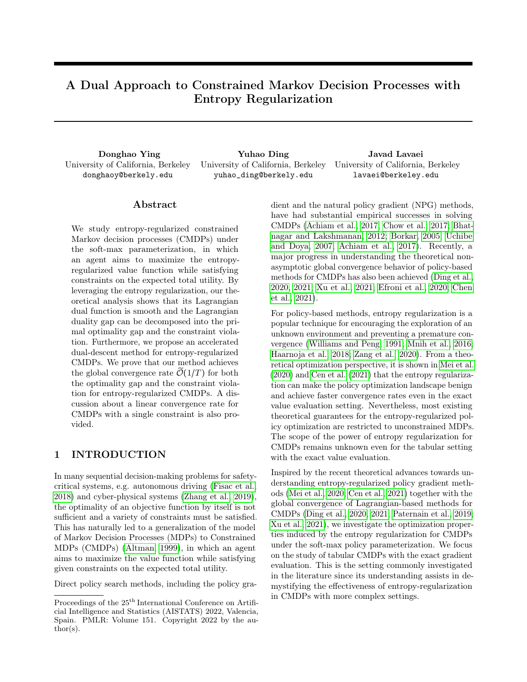# A Dual Approach to Constrained Markov Decision Processes with Entropy Regularization

University of California, Berkeley donghaoy@berkely.edu

Donghao Ying Yuhao Ding Javad Lavaei University of California, Berkeley yuhao\_ding@berkely.edu University of California, Berkeley lavaei@berkeley.edu

### ${\rm Abstract}$

We study entropy-regularized constrained Markov decision processes (CMDPs) under the soft-max parameterization, in which an agent aims to maximize the entropyregularized value function while satisfying constraints on the expected total utility. By leveraging the entropy regularization, our theoretical analysis shows that its Lagrangian dual function is smooth and the Lagrangian duality gap can be decomposed into the primal optimality gap and the constraint violation. Furthermore, we propose an accelerated dual-descent method for entropy-regularized CMDPs. We prove that our method achieves the global convergence rate  $\mathcal{O}(1/T)$  for both the optimality gap and the constraint violation for entropy-regularized CMDPs. A discussion about a linear convergence rate for CMDPs with a single constraint is also provided.

# 1 INTRODUCTION

In many sequential decision-making problems for safetycritical systems, e.g. autonomous driving [\(Fisac et al.,](#page-8-0) [2018\)](#page-8-0) and cyber-physical systems [\(Zhang et al., 2019\)](#page-9-0), the optimality of an objective function by itself is not sufficient and a variety of constraints must be satisfied. This has naturally led to a generalization of the model of Markov Decision Processes (MDPs) to Constrained MDPs (CMDPs) [\(Altman, 1999\)](#page-8-1), in which an agent aims to maximize the value function while satisfying given constraints on the expected total utility.

Direct policy search methods, including the policy gra-

dient and the natural policy gradient (NPG) methods, have had substantial empirical successes in solving CMDPs [\(Achiam et al., 2017;](#page-8-2) [Chow et al., 2017;](#page-8-3) [Bhat](#page-8-4)[nagar and Lakshmanan, 2012;](#page-8-4) [Borkar, 2005;](#page-8-5) [Uchibe](#page-9-1) [and Doya, 2007;](#page-9-1) [Achiam et al., 2017\)](#page-8-2). Recently, a major progress in understanding the theoretical nonasymptotic global convergence behavior of policy-based methods for CMDPs has also been achieved [\(Ding et al.,](#page-8-6) [2020,](#page-8-6) [2021;](#page-8-7) [Xu et al., 2021;](#page-9-2) [Efroni et al., 2020;](#page-8-8) [Chen](#page-8-9) [et al., 2021\)](#page-8-9).

For policy-based methods, entropy regularization is a popular technique for encouraging the exploration of an unknown environment and preventing a premature convergence [\(Williams and Peng, 1991;](#page-9-3) [Mnih et al., 2016;](#page-9-4) [Haarnoja et al., 2018;](#page-9-5) [Zang et al., 2020\)](#page-9-6). From a theoretical optimization perspective, it is shown in [Mei et al.](#page-9-7) [\(2020\)](#page-9-7) and [Cen et al.](#page-8-10) [\(2021\)](#page-8-10) that the entropy regularization can make the policy optimization landscape benign and achieve faster convergence rates even in the exact value evaluation setting. Nevertheless, most existing theoretical guarantees for the entropy-regularized policy optimization are restricted to unconstrained MDPs. The scope of the power of entropy regularization for CMDPs remains unknown even for the tabular setting with the exact value evaluation.

Inspired by the recent theoretical advances towards understanding entropy-regularized policy gradient methods [\(Mei et al., 2020;](#page-9-7) [Cen et al., 2021\)](#page-8-10) together with the global convergence of Lagrangian-based methods for CMDPs [\(Ding et al., 2020,](#page-8-6) [2021;](#page-8-7) [Paternain et al., 2019;](#page-9-8) [Xu et al., 2021\)](#page-9-2), we investigate the optimization properties induced by the entropy regularization for CMDPs under the soft-max policy parameterization. We focus on the study of tabular CMDPs with the exact gradient evaluation. This is the setting commonly investigated in the literature since its understanding assists in demystifying the effectiveness of entropy-regularization in CMDPs with more complex settings.

Proceedings of the  $25<sup>th</sup>$  International Conference on Artificial Intelligence and Statistics (AISTATS) 2022, Valencia, Spain. PMLR: Volume 151. Copyright 2022 by the au- $\text{thor}(s)$ .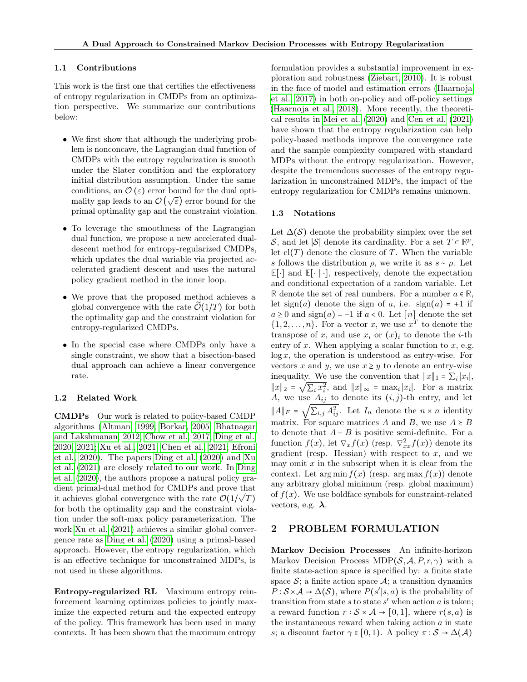#### 1.1 Contributions

This work is the first one that certifies the effectiveness of entropy regularization in CMDPs from an optimization perspective. We summarize our contributions below:

- We first show that although the underlying problem is nonconcave, the Lagrangian dual function of CMDPs with the entropy regularization is smooth under the Slater condition and the exploratory initial distribution assumption. Under the same conditions, an  $\mathcal{O}(\varepsilon)$  error bound for the dual opticonditions, an  $\mathcal{O}(\epsilon)$  error bound for the dual optimality gap leads to an  $\mathcal{O}(\sqrt{\epsilon})$  error bound for the primal optimality gap and the constraint violation.
- To leverage the smoothness of the Lagrangian dual function, we propose a new accelerated dualdescent method for entropy-regularized CMDPs, which updates the dual variable via projected accelerated gradient descent and uses the natural policy gradient method in the inner loop.
- We prove that the proposed method achieves a global convergence with the rate  $\mathcal{O}(1/T)$  for both the optimality gap and the constraint violation for entropy-regularized CMDPs.
- In the special case where CMDPs only have a single constraint, we show that a bisection-based dual approach can achieve a linear convergence rate.

### 1.2 Related Work

CMDPs Our work is related to policy-based CMDP algorithms [\(Altman, 1999;](#page-8-1) [Borkar, 2005;](#page-8-5) [Bhatnagar](#page-8-4) [and Lakshmanan, 2012;](#page-8-4) [Chow et al., 2017;](#page-8-3) [Ding et al.,](#page-8-6) [2020,](#page-8-6) [2021;](#page-8-7) [Xu et al., 2021;](#page-9-2) [Chen et al., 2021;](#page-8-9) [Efroni](#page-8-8) [et al., 2020\)](#page-8-8). The papers [Ding et al.](#page-8-6) [\(2020\)](#page-8-6) and [Xu](#page-9-2) [et al.](#page-9-2) [\(2021\)](#page-9-2) are closely related to our work. In [Ding](#page-8-6) [et al.](#page-8-6) [\(2020\)](#page-8-6), the authors propose a natural policy gradient primal-dual method for CMDPs and prove that it achieves global convergence with the rate  $\mathcal{O}(1/\sqrt{T})$ for both the optimality gap and the constraint violation under the soft-max policy parameterization. The work [Xu et al.](#page-9-2) [\(2021\)](#page-9-2) achieves a similar global convergence rate as [Ding et al.](#page-8-6) [\(2020\)](#page-8-6) using a primal-based approach. However, the entropy regularization, which is an effective technique for unconstrained MDPs, is not used in these algorithms.

Entropy-regularized RL Maximum entropy reinforcement learning optimizes policies to jointly maximize the expected return and the expected entropy of the policy. This framework has been used in many contexts. It has been shown that the maximum entropy formulation provides a substantial improvement in exploration and robustness [\(Ziebart, 2010\)](#page-9-9). It is robust in the face of model and estimation errors [\(Haarnoja](#page-9-10) [et al., 2017\)](#page-9-10) in both on-policy and off-policy settings [\(Haarnoja et al., 2018\)](#page-9-5). More recently, the theoretical results in [Mei et al.](#page-9-7) [\(2020\)](#page-9-7) and [Cen et al.](#page-8-10) [\(2021\)](#page-8-10) have shown that the entropy regularization can help policy-based methods improve the convergence rate and the sample complexity compared with standard MDPs without the entropy regularization. However, despite the tremendous successes of the entropy regularization in unconstrained MDPs, the impact of the entropy regularization for CMDPs remains unknown.

### 1.3 Notations

Let  $\Delta(\mathcal{S})$  denote the probability simplex over the set S, and let  $|S|$  denote its cardinality. For a set  $T \subset \mathbb{R}^p$ , let  $cl(T)$  denote the closure of T. When the variable s follows the distribution  $\rho$ , we write it as  $s \sim \rho$ . Let **E**[⋅] and **E**[⋅ ∣ ⋅], respectively, denote the expectation and conditional expectation of a random variable. Let **R** denote the set of real numbers. For a number  $a \in \mathbb{R}$ , let sign(a) denote the sign of a, i.e.  $sign(a) = +1$  if  $a \geq 0$  and sign(a) = -1 if  $a < 0$ . Let [n] denote the set  $\{1, 2, \ldots, n\}$ . For a vector x, we use  $x^T$  to denote the transpose of x, and use  $x_i$  or  $(x)_i$  to denote the *i*-th entry of  $x$ . When applying a scalar function to  $x$ , e.g.  $log x$ , the operation is understood as entry-wise. For vectors x and y, we use  $x \geq y$  to denote an entry-wise inequality. We use the convention that  $||x||_1 = \sum_i |x_i|$ ,  $||x||_2 = \sqrt{\sum_i x_i^2}$ , and  $||x||_{\infty} = \max_i |x_i|$ . For a matrix A, we use  $A_{ij}$  to denote its  $(i, j)$ -th entry, and let  $||A||_F = \sqrt{\sum_{i,j} A_{ij}^2}$ . Let  $I_n$  denote the  $n \times n$  identity matrix. For square matrices A and B, we use  $A \geq B$ to denote that  $A - B$  is positive semi-definite. For a function  $f(x)$ , let  $\nabla_x f(x)$  (resp.  $\nabla^2_{xx} f(x)$ ) denote its gradient (resp. Hessian) with respect to  $x$ , and we may omit  $x$  in the subscript when it is clear from the context. Let  $\arg \min f(x)$  (resp.  $\arg \max f(x)$ ) denote any arbitrary global minimum (resp. global maximum) of  $f(x)$ . We use boldface symbols for constraint-related vectors, e.g.  $\lambda$ .

### <span id="page-1-0"></span>2 PROBLEM FORMULATION

Markov Decision Processes An infinite-horizon Markov Decision Process MDP( $S, A, P, r, \gamma$ ) with a finite state-action space is specified by: a finite state space  $S$ ; a finite action space  $A$ ; a transition dynamics  $P: \mathcal{S} \times \mathcal{A} \to \Delta(\mathcal{S})$ , where  $P(s'|s, a)$  is the probability of transition from state  $s$  to state  $s'$  when action  $a$  is taken; a reward function  $r : \mathcal{S} \times \mathcal{A} \rightarrow [0,1]$ , where  $r(s,a)$  is the instantaneous reward when taking action  $\alpha$  in state s; a discount factor  $\gamma \in [0,1)$ . A policy  $\pi : \mathcal{S} \to \Delta(\mathcal{A})$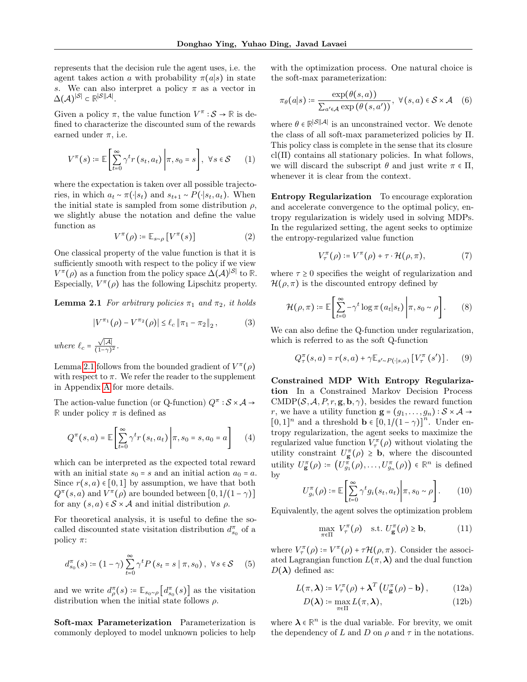represents that the decision rule the agent uses, i.e. the agent takes action a with probability  $\pi(a|s)$  in state s. We can also interpret a policy  $\pi$  as a vector in  $\Delta(\mathcal{A})^{|\mathcal{S}|}$  ⊂  $\mathbb{R}^{|\mathcal{S}||\mathcal{A}|}.$ 

Given a policy  $\pi$ , the value function  $V^{\pi}$  :  $S \to \mathbb{R}$  is defined to characterize the discounted sum of the rewards earned under  $\pi$ , i.e.

$$
V^{\pi}(s) \coloneqq \mathbb{E}\left[\sum_{t=0}^{\infty} \gamma^t r(s_t, a_t) \middle| \pi, s_0 = s\right], \ \forall s \in \mathcal{S} \tag{1}
$$

where the expectation is taken over all possible trajectories, in which  $a_t \sim \pi(\cdot|s_t)$  and  $s_{t+1} \sim P(\cdot|s_t, a_t)$ . When the initial state is sampled from some distribution  $\rho$ , we slightly abuse the notation and define the value function as

$$
V^{\pi}(\rho) \coloneqq \mathbb{E}_{s \sim \rho} \left[ V^{\pi}(s) \right] \tag{2}
$$

One classical property of the value function is that it is sufficiently smooth with respect to the policy if we view  $V^{\pi}(\rho)$  as a function from the policy space  $\Delta(\mathcal{A})^{|\mathcal{S}|}$  to  $\mathbb{R}$ . Especially,  $V^{\pi}(\rho)$  has the following Lipschitz property.

**Lemma 2.1** For arbitrary policies  $\pi_1$  and  $\pi_2$ , it holds

<span id="page-2-3"></span>
$$
|V^{\pi_1}(\rho) - V^{\pi_2}(\rho)| \le \ell_c \| \pi_1 - \pi_2 \|_2, \qquad (3)
$$

where 
$$
\ell_c = \frac{\sqrt{|\mathcal{A}|}}{(1-\gamma)^2}
$$
.

Lemma [2.1](#page-2-0) follows from the bounded gradient of  $V^{\pi}(\rho)$ with respect to  $\pi$ . We refer the reader to the supplement in Appendix [A](#page-10-0) for more details.

The action-value function (or Q-function)  $Q^{\pi}$ :  $S \times A \rightarrow$ **R** under policy  $\pi$  is defined as

$$
Q^{\pi}(s, a) = \mathbb{E}\left[\sum_{t=0}^{\infty} \gamma^t r(s_t, a_t) \middle| \pi, s_0 = s, a_0 = a\right]
$$
 (4)

which can be interpreted as the expected total reward with an initial state  $s_0 = s$  and an initial action  $a_0 = a$ . Since  $r(s, a) \in [0, 1]$  by assumption, we have that both  $Q^{\pi}(s, a)$  and  $V^{\pi}(\rho)$  are bounded between  $[0, 1/(1-\gamma)]$ for any  $(s, a) \in S \times A$  and initial distribution  $\rho$ .

For theoretical analysis, it is useful to define the socalled discounted state visitation distribution  $d_{s_0}^{\pi}$  of a policy  $\pi$ :

$$
d_{s_0}^{\pi}(s) \coloneqq (1 - \gamma) \sum_{t=0}^{\infty} \gamma^t P(s_t = s \mid \pi, s_0), \ \forall s \in S \quad (5)
$$

and we write  $d_{\rho}^{\pi}(s) \coloneqq \mathbb{E}_{s_0 \sim \rho} \left[ d_{s_0}^{\pi}(s) \right]$  as the visitation distribution when the initial state follows  $\rho$ .

Soft-max Parameterization Parameterization is commonly deployed to model unknown policies to help with the optimization process. One natural choice is the soft-max parameterization:

<span id="page-2-6"></span>
$$
\pi_{\theta}(a|s) \coloneqq \frac{\exp(\theta(s, a))}{\sum_{a' \in \mathcal{A}} \exp(\theta(s, a'))}, \ \forall (s, a) \in \mathcal{S} \times \mathcal{A} \quad (6)
$$

where  $\theta \in \mathbb{R}^{|\mathcal{S}||\mathcal{A}|}$  is an unconstrained vector. We denote the class of all soft-max parameterized policies by Π. This policy class is complete in the sense that its closure  $cl(\Pi)$  contains all stationary policies. In what follows, we will discard the subscript  $\theta$  and just write  $\pi \in \Pi$ , whenever it is clear from the context.

Entropy Regularization To encourage exploration and accelerate convergence to the optimal policy, entropy regularization is widely used in solving MDPs. In the regularized setting, the agent seeks to optimize the entropy-regularized value function

$$
V_{\tau}^{\pi}(\rho) \coloneqq V^{\pi}(\rho) + \tau \cdot \mathcal{H}(\rho, \pi), \tag{7}
$$

<span id="page-2-0"></span>where  $\tau \geq 0$  specifies the weight of regularization and  $\mathcal{H}(\rho, \pi)$  is the discounted entropy defined by

$$
\mathcal{H}(\rho,\pi) \coloneqq \mathbb{E}\bigg[\sum_{t=0}^{\infty} -\gamma^t \log \pi\left(a_t|s_t\right)\bigg|\pi, s_0 \sim \rho\bigg].\tag{8}
$$

We can also define the Q-function under regularization, which is referred to as the soft Q-function

<span id="page-2-4"></span>
$$
Q^{\pi}_{\tau}(s, a) = r(s, a) + \gamma \mathbb{E}_{s' \sim P(\cdot | s, a)} \left[ V^{\pi}_{\tau}(s') \right].
$$
 (9)

Constrained MDP With Entropy Regularization In a Constrained Markov Decision Process CMDP( $\mathcal{S}, \mathcal{A}, P, r, \mathbf{g}, \mathbf{b}, \gamma$ ), besides the reward function r, we have a utility function  $\mathbf{g} = (g_1, \ldots, g_n) : \mathcal{S} \times \mathcal{A} \rightarrow$  $[0,1]^n$  and a threshold **b**  $\in [0,1/(1-\gamma)]^n$ . Under entropy regularization, the agent seeks to maximize the regularized value function  $V_{\tau}^{(\pi)}(\rho)$  without violating the utility constraint  $U_{\mathbf{g}}^{\pi}(\rho) \geq \mathbf{b}$ , where the discounted utility  $U^{\pi}_{\bf g}(\rho) \coloneqq \left(U^{\pi}_{g_1}(\rho), \ldots, U^{\pi}_{g_n}(\rho)\right) \in \mathbb{R}^n$  is defined by

$$
U_{g_i}^{\pi}(\rho) \coloneqq \mathbb{E}\left[\sum_{t=0}^{\infty} \gamma^t g_i(s_t, a_t) \middle| \pi, s_0 \sim \rho\right].
$$
 (10)

Equivalently, the agent solves the optimization problem

<span id="page-2-5"></span><span id="page-2-2"></span><span id="page-2-1"></span>
$$
\max_{\pi \in \Pi} V_{\tau}^{\pi}(\rho) \quad \text{s.t. } U_{\mathbf{g}}^{\pi}(\rho) \ge \mathbf{b}, \tag{11}
$$

where  $V_{\tau}^{(\pi)}(\rho) \coloneqq V^{\pi}(\rho) + \tau \mathcal{H}(\rho, \pi)$ . Consider the associated Lagrangian function  $L(\pi, \lambda)$  and the dual function  $D(\lambda)$  defined as:

$$
L(\pi, \lambda) \coloneqq V_{\tau}^{\pi}(\rho) + \lambda^{T} \left( U_{\mathbf{g}}^{\pi}(\rho) - \mathbf{b} \right), \quad (12a)
$$

$$
D(\lambda) \coloneqq \max_{\pi \in \Pi} L(\pi, \lambda), \tag{12b}
$$

where  $\lambda \in \mathbb{R}^n$  is the dual variable. For brevity, we omit the dependency of L and D on  $\rho$  and  $\tau$  in the notations.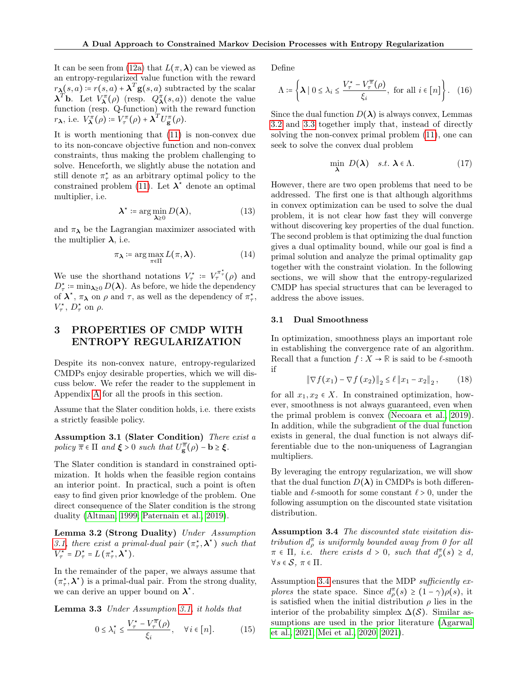It can be seen from [\(12a\)](#page-2-1) that  $L(\pi, \lambda)$  can be viewed as an entropy-regularized value function with the reward  $r_{\mathbf{\lambda}}(s, a) \coloneqq r(s, a) + \mathbf{\lambda}^T \mathbf{g}(s, a)$  subtracted by the scalar  $\boldsymbol{\lambda}^T$ b. Let  $V_{\boldsymbol{\lambda}}^{\pi}(\rho)$  (resp.  $Q_{\boldsymbol{\lambda}}^{\pi}(s,a)$ ) denote the value function (resp. Q-function) with the reward function  $r_{\lambda}$ , i.e.  $V_{\lambda}^{\pi}(\rho) = V_{\tau}^{\pi}(\rho) + \lambda^{T} U_{g}^{\pi}(\rho)$ .

It is worth mentioning that [\(11\)](#page-2-2) is non-convex due to its non-concave objective function and non-convex constraints, thus making the problem challenging to solve. Henceforth, we slightly abuse the notation and still denote  $\pi^*$  as an arbitrary optimal policy to the constrained problem [\(11\)](#page-2-2). Let  $\lambda^*$  denote an optimal multiplier, i.e.

$$
\lambda^* \coloneqq \arg\min_{\lambda \ge 0} D(\lambda), \tag{13}
$$

and  $\pi_{\lambda}$  be the Lagrangian maximizer associated with the multiplier  $\lambda$ , i.e.

<span id="page-3-4"></span>
$$
\pi_{\lambda} \coloneqq \arg \max_{\pi \in \Pi} L(\pi, \lambda). \tag{14}
$$

We use the shorthand notations  $V_\tau^* := V_\tau^{\pi^*}(\rho)$  and  $D_{\tau}^* \coloneqq \min_{\lambda \geq 0} D(\lambda)$ . As before, we hide the dependency of  $\lambda^*$ ,  $\pi_{\lambda}$  on  $\rho$  and  $\tau$ , as well as the dependency of  $\pi_{\tau}^*$ ,  $V_{\tau}^{\star}$ ,  $D_{\tau}^{\star}$  on  $\rho$ .

# <span id="page-3-5"></span>3 PROPERTIES OF CMDP WITH ENTROPY REGULARIZATION

Despite its non-convex nature, entropy-regularized CMDPs enjoy desirable properties, which we will discuss below. We refer the reader to the supplement in Appendix [A](#page-10-0) for all the proofs in this section.

<span id="page-3-0"></span>Assume that the Slater condition holds, i.e. there exists a strictly feasible policy.

Assumption 3.1 (Slater Condition) There exist a policy  $\overline{\pi} \in \Pi$  and  $\xi > 0$  such that  $U_{\mathbf{g}}^{\overline{\pi}}(\rho) - \mathbf{b} \ge \xi$ .

The Slater condition is standard in constrained optimization. It holds when the feasible region contains an interior point. In practical, such a point is often easy to find given prior knowledge of the problem. One direct consequence of the Slater condition is the strong duality [\(Altman, 1999;](#page-8-1) [Paternain et al., 2019\)](#page-9-8).

Lemma 3.2 (Strong Duality) Under Assumption [3.1,](#page-3-0) there exist a primal-dual pair  $(\pi_\tau^*, \lambda^*)$  such that  $V^{\star}_{\tau} = D^{\star}_{\tau} = L(\pi^{\star}_{\tau}, \lambda^{\star}).$ 

In the remainder of the paper, we always assume that  $(\pi_\tau^\star, \boldsymbol{\lambda}^\star)$  is a primal-dual pair. From the strong duality, we can derive an upper bound on  $\lambda^*$ .

Lemma 3.3 Under Assumption [3.1,](#page-3-0) it holds that

$$
0 \le \lambda_i^* \le \frac{V_\tau^* - V_\tau^{\overline{\pi}}(\rho)}{\xi_i}, \quad \forall i \in [n]. \tag{15}
$$

Define

<span id="page-3-7"></span>
$$
\Lambda \coloneqq \left\{ \boldsymbol{\lambda} \mid 0 \le \lambda_i \le \frac{V_\tau^\star - V_\tau^\overline{\pi}(\rho)}{\xi_i}, \text{ for all } i \in [n] \right\}. \tag{16}
$$

Since the dual function  $D(\lambda)$  is always convex, Lemmas [3.2](#page-3-1) and [3.3](#page-3-2) together imply that, instead of directly solving the non-convex primal problem [\(11\)](#page-2-2), one can seek to solve the convex dual problem

<span id="page-3-6"></span>
$$
\min_{\lambda} \ D(\lambda) \quad s.t. \ \lambda \in \Lambda. \tag{17}
$$

However, there are two open problems that need to be addressed. The first one is that although algorithms in convex optimization can be used to solve the dual problem, it is not clear how fast they will converge without discovering key properties of the dual function. The second problem is that optimizing the dual function gives a dual optimality bound, while our goal is find a primal solution and analyze the primal optimality gap together with the constraint violation. In the following sections, we will show that the entropy-regularized CMDP has special structures that can be leveraged to address the above issues.

#### 3.1 Dual Smoothness

In optimization, smoothness plays an important role in establishing the convergence rate of an algorithm. Recall that a function  $f : X \to \mathbb{R}$  is said to be  $\ell$ -smooth if

$$
\|\nabla f(x_1) - \nabla f(x_2)\|_2 \le \ell \|x_1 - x_2\|_2, \qquad (18)
$$

for all  $x_1, x_2 \in X$ . In constrained optimization, however, smoothness is not always guaranteed, even when the primal problem is convex [\(Necoara et al., 2019\)](#page-9-11). In addition, while the subgradient of the dual function exists in general, the dual function is not always differentiable due to the non-uniqueness of Lagrangian multipliers.

By leveraging the entropy regularization, we will show that the dual function  $D(\lambda)$  in CMDPs is both differentiable and  $\ell$ -smooth for some constant  $\ell > 0$ , under the following assumption on the discounted state visitation distribution.

<span id="page-3-3"></span><span id="page-3-1"></span>Assumption 3.4 The discounted state visitation distribution  $d_{\rho}^{\pi}$  is uniformly bounded away from 0 for all  $\pi \in \Pi$ , *i.e.* there exists  $d > 0$ , such that  $d_{\rho}^{\pi}(s) \geq d$ ,  $\forall s \in \mathcal{S}, \pi \in \Pi.$ 

<span id="page-3-2"></span>Assumption [3.4](#page-3-3) ensures that the MDP *sufficiently ex*plores the state space. Since  $d_{\rho}^{\pi}(s) \geq (1 - \gamma)\rho(s)$ , it is satisfied when the initial distribution  $\rho$  lies in the interior of the probability simplex  $\Delta(S)$ . Similar assumptions are used in the prior literature [\(Agarwal](#page-8-11) [et al., 2021;](#page-8-11) [Mei et al., 2020,](#page-9-7) [2021\)](#page-9-12).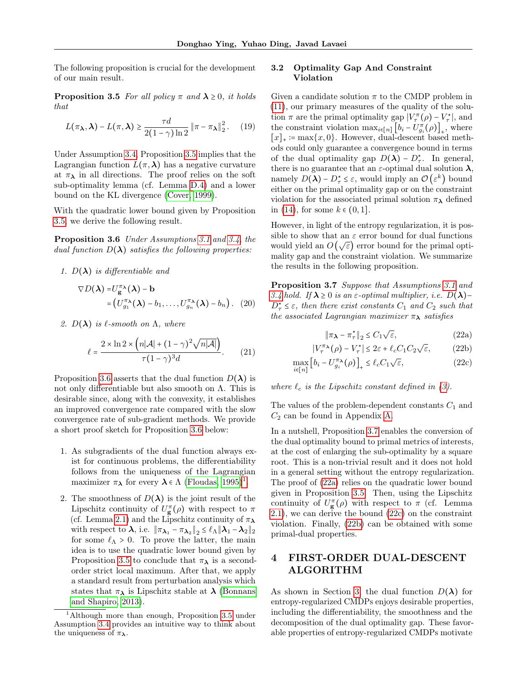<span id="page-4-0"></span>The following proposition is crucial for the development of our main result.

**Proposition 3.5** For all policy  $\pi$  and  $\lambda \geq 0$ , it holds that

$$
L(\pi_{\lambda}, \lambda) - L(\pi, \lambda) \ge \frac{\tau d}{2(1 - \gamma) \ln 2} \left\| \pi - \pi_{\lambda} \right\|_{2}^{2}.
$$
 (19)

Under Assumption [3.4,](#page-3-3) Proposition [3.5](#page-4-0) implies that the Lagrangian function  $L(\pi, \lambda)$  has a negative curvature at  $\pi_{\lambda}$  in all directions. The proof relies on the soft sub-optimality lemma (cf. Lemma [D.4\)](#page-22-0) and a lower bound on the KL divergence [\(Cover, 1999\)](#page-8-12).

With the quadratic lower bound given by Proposition [3.5,](#page-4-0) we derive the following result.

Proposition 3.6 Under Assumptions [3.1](#page-3-0) and [3.4,](#page-3-3) the dual function  $D(\lambda)$  satisfies the following properties:

1.  $D(\lambda)$  is differentiable and

$$
\nabla D(\boldsymbol{\lambda}) = U_{\mathbf{g}}^{\pi_{\boldsymbol{\lambda}}}(\boldsymbol{\lambda}) - \mathbf{b}
$$
  
=  $(U_{g_1}^{\pi_{\boldsymbol{\lambda}}}(\boldsymbol{\lambda}) - b_1, \dots, U_{g_n}^{\pi_{\boldsymbol{\lambda}}}(\boldsymbol{\lambda}) - b_n).$  (20)

2.  $D(\lambda)$  is  $\ell$ -smooth on  $\Lambda$ , where

<span id="page-4-7"></span>
$$
\ell = \frac{2 \times \ln 2 \times \left( n|\mathcal{A}| + (1 - \gamma)^2 \sqrt{n|\mathcal{A}|} \right)}{\tau (1 - \gamma)^3 d}.
$$
 (21)

Proposition [3.6](#page-4-1) asserts that the dual function  $D(\lambda)$  is not only differentiable but also smooth on Λ. This is desirable since, along with the convexity, it establishes an improved convergence rate compared with the slow convergence rate of sub-gradient methods. We provide a short proof sketch for Proposition [3.6](#page-4-1) below:

- 1. As subgradients of the dual function always exist for continuous problems, the differentiability follows from the uniqueness of the Lagrangian maximizer  $\pi_{\lambda}$  for every  $\lambda \in \Lambda$  [\(Floudas, 1995\)](#page-8-13)<sup>[1](#page-4-2)</sup>.
- 2. The smoothness of  $D(\lambda)$  is the joint result of the Lipschitz continuity of  $U_{\mathbf{g}}^{\pi}(\rho)$  with respect to  $\pi$ (cf. Lemma [2.1\)](#page-2-0) and the Lipschitz continuity of  $\pi_{\lambda}$ with respect to  $\lambda$ , i.e.  $\|\pi_{\lambda_1} - \pi_{\lambda_2}\|_2 \le \ell_\Lambda \|\lambda_1 - \lambda_2\|_2$ for some  $\ell_{\Lambda} > 0$ . To prove the latter, the main idea is to use the quadratic lower bound given by Proposition [3.5](#page-4-0) to conclude that  $\pi_{\lambda}$  is a secondorder strict local maximum. After that, we apply a standard result from perturbation analysis which states that  $\pi_{\lambda}$  is Lipschitz stable at  $\lambda$  [\(Bonnans](#page-8-14) [and Shapiro, 2013\)](#page-8-14).

# 3.2 Optimality Gap And Constraint Violation

Given a candidate solution  $\pi$  to the CMDP problem in [\(11\)](#page-2-2), our primary measures of the quality of the solution  $\pi$  are the primal optimality gap  $|V_{\tau}^{\pi}(\rho) - V_{\tau}^*|$ , and the constraint violation  $\max_{i \in [n]} [b_i - U_{g_i}^{\pi}(\rho)]_+,$  where  $[x]_+ := \max\{x, 0\}.$  However, dual-descent based methods could only guarantee a convergence bound in terms of the dual optimality gap  $D(\lambda) - D_{\tau}^*$ . In general, there is no guarantee that an  $\varepsilon$ -optimal dual solution  $\lambda$ , namely  $D(\lambda) - D_{\tau}^* \leq \varepsilon$ , would imply an  $\mathcal{O}(\varepsilon^k)$  bound either on the primal optimality gap or on the constraint violation for the associated primal solution  $\pi_{\lambda}$  defined in [\(14\)](#page-3-4), for some  $k \in (0, 1]$ .

<span id="page-4-1"></span>However, in light of the entropy regularization, it is possible to show that an  $\varepsilon$  error bound for dual functions would yield an  $O(\sqrt{\varepsilon})$  error bound for the primal optimality gap and the constraint violation. We summarize the results in the following proposition.

Proposition 3.7 Suppose that Assumptions [3.1](#page-3-0) and [3.4](#page-3-3) hold. If  $\lambda \geq 0$  is an  $\varepsilon$ -optimal multiplier, i.e.  $D(\lambda)$ –  $D_{\tau}^{\star} \leq \varepsilon$ , then there exist constants  $C_1$  and  $C_2$  such that the associated Lagrangian maximizer  $\pi_{\lambda}$  satisfies

<span id="page-4-6"></span><span id="page-4-5"></span><span id="page-4-4"></span><span id="page-4-3"></span>
$$
\|\pi_{\lambda} - \pi_{\tau}^{\star}\|_{2} \le C_{1} \sqrt{\varepsilon},\tag{22a}
$$

$$
|V_{\tau}^{\pi_{\lambda}}(\rho) - V_{\tau}^{\star}| \le 2\varepsilon + \ell_c C_1 C_2 \sqrt{\varepsilon}, \qquad (22b)
$$

$$
\max_{i \in [n]} \left[ b_i - U_{g_i}^{\pi_\lambda}(\rho) \right]_+ \le \ell_c C_1 \sqrt{\varepsilon},\tag{22c}
$$

where  $\ell_c$  is the Lipschitz constant defined in [\(3\)](#page-2-3).

The values of the problem-dependent constants  $C_1$  and  $C_2$  can be found in Appendix [A.](#page-10-0)

In a nutshell, Proposition [3.7](#page-4-3) enables the conversion of the dual optimality bound to primal metrics of interests, at the cost of enlarging the sub-optimality by a square root. This is a non-trivial result and it does not hold in a general setting without the entropy regularization. The proof of [\(22a\)](#page-4-4) relies on the quadratic lower bound given in Proposition [3.5.](#page-4-0) Then, using the Lipschitz continuity of  $U_{\mathbf{g}}^{\pi}(\rho)$  with respect to  $\pi$  (cf. Lemma [2.1\)](#page-2-0), we can derive the bound [\(22c\)](#page-4-5) on the constraint violation. Finally, [\(22b\)](#page-4-6) can be obtained with some primal-dual properties.

# <span id="page-4-8"></span>4 FIRST-ORDER DUAL-DESCENT ALGORITHM

As shown in Section [3,](#page-3-5) the dual function  $D(\lambda)$  for entropy-regularized CMDPs enjoys desirable properties, including the differentiability, the smoothness and the decomposition of the dual optimality gap. These favorable properties of entropy-regularized CMDPs motivate

<span id="page-4-2"></span><sup>&</sup>lt;sup>1</sup>Although more than enough, Proposition [3.5](#page-4-0) under Assumption [3.4](#page-3-3) provides an intuitive way to think about the uniqueness of  $\pi_{\lambda}$ .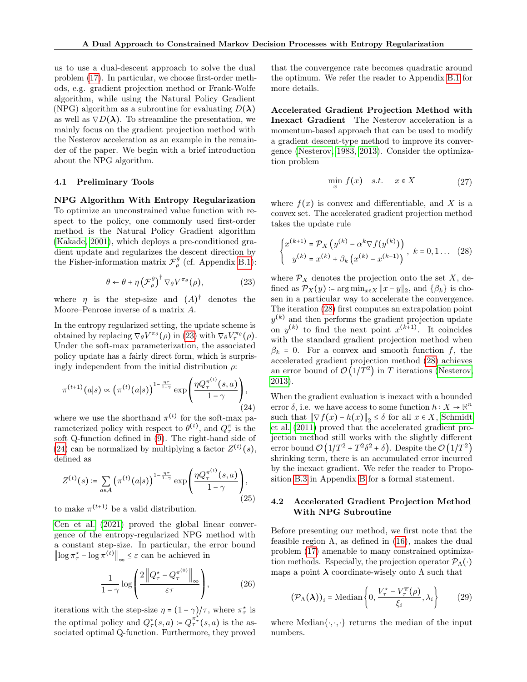us to use a dual-descent approach to solve the dual problem [\(17\)](#page-3-6). In particular, we choose first-order methods, e.g. gradient projection method or Frank-Wolfe algorithm, while using the Natural Policy Gradient (NPG) algorithm as a subroutine for evaluating  $D(\lambda)$ as well as  $\nabla D(\lambda)$ . To streamline the presentation, we mainly focus on the gradient projection method with the Nesterov acceleration as an example in the remainder of the paper. We begin with a brief introduction about the NPG algorithm.

### <span id="page-5-5"></span>4.1 Preliminary Tools

NPG Algorithm With Entropy Regularization To optimize an unconstrained value function with respect to the policy, one commonly used first-order method is the Natural Policy Gradient algorithm [\(Kakade, 2001\)](#page-9-13), which deploys a pre-conditioned gradient update and regularizes the descent direction by the Fisher-information matrix  $\mathcal{F}_{\rho}^{\theta}$  (cf. Appendix [B.1\)](#page-14-0):

<span id="page-5-0"></span>
$$
\theta \leftarrow \theta + \eta \left(\mathcal{F}_{\rho}^{\theta}\right)^{\dagger} \nabla_{\theta} V^{\pi_{\theta}}(\rho), \tag{23}
$$

where  $\eta$  is the step-size and  $(A)^{\dagger}$  denotes the Moore–Penrose inverse of a matrix A.

In the entropy regularized setting, the update scheme is obtained by replacing  $\nabla_{\theta} V^{\pi_{\theta}}(\rho)$  in [\(23\)](#page-5-0) with  $\nabla_{\theta} V^{\pi_{\theta}}_{\tau}(\rho)$ . Under the soft-max parameterization, the associated policy update has a fairly direct form, which is surprisingly independent from the initial distribution  $\rho$ :

<span id="page-5-1"></span>
$$
\pi^{(t+1)}(a|s) \propto \left(\pi^{(t)}(a|s)\right)^{1-\frac{\eta\tau}{1-\gamma}} \exp\left(\frac{\eta Q_{\tau}^{\pi^{(t)}}(s,a)}{1-\gamma}\right),\tag{24}
$$

where we use the shorthand  $\pi^{(t)}$  for the soft-max parameterized policy with respect to  $\theta^{(t)}$ , and  $Q_{\tau}^{\pi}$  is the soft Q-function defined in [\(9\)](#page-2-4). The right-hand side of [\(24\)](#page-5-1) can be normalized by multiplying a factor  $Z^{(t)}(s)$ , defined as

<span id="page-5-6"></span>
$$
Z^{(t)}(s) \coloneqq \sum_{a \in \mathcal{A}} \left( \pi^{(t)}(a|s) \right)^{1 - \frac{\eta \tau}{1 - \gamma}} \exp\left(\frac{\eta Q_{\tau}^{\pi^{(t)}}(s, a)}{1 - \gamma}\right),\tag{25}
$$

to make  $\pi^{(t+1)}$  be a valid distribution.

[Cen et al.](#page-8-10) [\(2021\)](#page-8-10) proved the global linear convergence of the entropy-regularized NPG method with a constant step-size. In particular, the error bound  $\left\| \log \pi^{\star}_{\tau} - \log \pi^{(t)} \right\|_{\infty} \leq \varepsilon$  can be achieved in

<span id="page-5-4"></span>
$$
\frac{1}{1-\gamma}\log\left(\frac{2\left\|Q_{\tau}^{*}-Q_{\tau}^{\pi^{(0)}}\right\|_{\infty}}{\varepsilon\tau}\right),\tag{26}
$$

iterations with the step-size  $\eta = (1 - \gamma)/\tau$ , where  $\pi^*$  is the optimal policy and  $Q^{\star}_{\tau}(s, a) = Q^{\pi^{\star}_{\tau}}(s, a)$  is the associated optimal Q-function. Furthermore, they proved

that the convergence rate becomes quadratic around the optimum. We refer the reader to Appendix [B.1](#page-14-0) for more details.

Accelerated Gradient Projection Method with Inexact Gradient The Nesterov acceleration is a momentum-based approach that can be used to modify a gradient descent-type method to improve its convergence [\(Nesterov, 1983,](#page-9-14) [2013\)](#page-9-15). Consider the optimization problem

$$
\min_{x} f(x) \quad s.t. \quad x \in X \tag{27}
$$

where  $f(x)$  is convex and differentiable, and X is a convex set. The accelerated gradient projection method takes the update rule

<span id="page-5-2"></span>
$$
\begin{cases} x^{(k+1)} = \mathcal{P}_X \left( y^{(k)} - \alpha^k \nabla f(y^{(k)}) \right) \\ y^{(k)} = x^{(k)} + \beta_k \left( x^{(k)} - x^{(k-1)} \right) \end{cases}, \ k = 0, 1 \dots \ (28)
$$

where  $\mathcal{P}_X$  denotes the projection onto the set X, defined as  $\mathcal{P}_X(y) \coloneqq \arg \min_{x \in X} ||x - y||_2$ , and  $\{\beta_k\}$  is chosen in a particular way to accelerate the convergence. The iteration [\(28\)](#page-5-2) first computes an extrapolation point  $y^{(k)}$  and then performs the gradient projection update on  $y^{(k)}$  to find the next point  $x^{(k+1)}$ . It coincides with the standard gradient projection method when  $\beta_k = 0$ . For a convex and smooth function f, the accelerated gradient projection method [\(28\)](#page-5-2) achieves an error bound of  $\mathcal{O}(1/T^2)$  in T iterations [\(Nesterov,](#page-9-15) [2013\)](#page-9-15).

When the gradient evaluation is inexact with a bounded error  $\delta$ , i.e. we have access to some function  $h: X \to \mathbb{R}^n$ such that  $\|\nabla f(x) - h(x)\|_2 \leq \delta$  for all  $x \in X$ , [Schmidt](#page-9-16) [et al.](#page-9-16) [\(2011\)](#page-9-16) proved that the accelerated gradient projection method still works with the slightly different error bound  $\mathcal{O}(1/T^2 + T^2 \delta^2 + \delta)$ . Despite the  $\mathcal{O}(1/T^2)$ shrinking term, there is an accumulated error incurred by the inexact gradient. We refer the reader to Proposition [B.3](#page-15-0) in Appendix [B](#page-14-1) for a formal statement.

### 4.2 Accelerated Gradient Projection Method With NPG Subroutine

Before presenting our method, we first note that the feasible region  $\Lambda$ , as defined in [\(16\)](#page-3-7), makes the dual problem [\(17\)](#page-3-6) amenable to many constrained optimization methods. Especially, the projection operator  $\mathcal{P}_{\Lambda}(\cdot)$ maps a point  $\lambda$  coordinate-wisely onto  $\Lambda$  such that

<span id="page-5-3"></span>
$$
(\mathcal{P}_{\Lambda}(\boldsymbol{\lambda}))_i = \text{Median}\left\{0, \frac{V_{\tau}^{\star} - V_{\tau}^{\overline{\pi}}(\rho)}{\xi_i}, \lambda_i\right\} \tag{29}
$$

where Median $\{\cdot,\cdot,\cdot\}$  returns the median of the input numbers.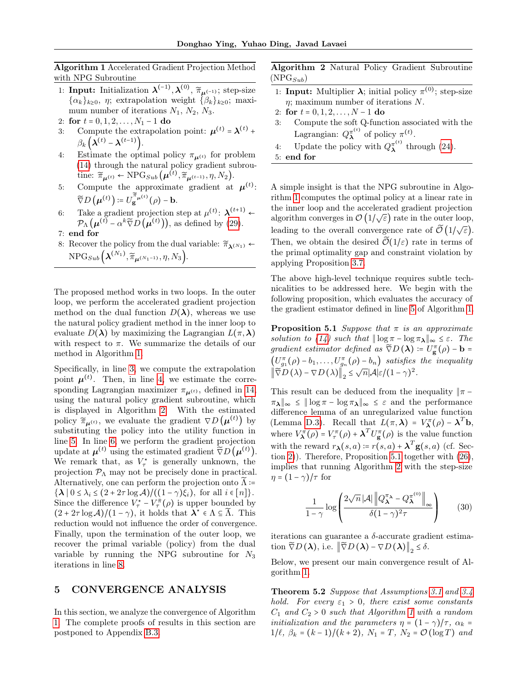<span id="page-6-0"></span>Algorithm 1 Accelerated Gradient Projection Method with NPG Subroutine

- 1: Input: Initialization  $\lambda^{(-1)}$ ,  $\lambda^{(0)}$ ,  $\widetilde{\pi}_{\mu^{(-1)}}$ ; step-size  ${\{\alpha_k\}_{k\geq0}, \eta$ ; extrapolation weight  ${\{\beta_k\}_{k\geq0}}$ ; maximum number of iterations  $N_1$ ,  $N_2$ ,  $N_3$ .
- 2: for  $t = 0, 1, 2, \ldots, N_1 1$  do
- <span id="page-6-2"></span><span id="page-6-1"></span>3: Compute the extrapolation point:  $\mu^{(t)} = \lambda^{(t)} + \lambda^{(t)}$  $\beta_k\left(\boldsymbol{\lambda}^{(t)}-\boldsymbol{\lambda}^{(t-1)}\right).$
- 4: Estimate the optimal policy  $\pi_{\mu^{(t)}}$  for problem [\(14\)](#page-3-4) through the natural policy gradient subroutine:  $\widetilde{\pi}_{\mu^{(t)}} \leftarrow \text{NPG}_{Sub}\left(\mu^{(t)}, \widetilde{\pi}_{\mu^{(t-1)}}, \eta, N_2\right).$
- 5: Compute the approximate gradient at  $\mu^{(t)}$ :  $\widetilde{\nabla}D\left(\boldsymbol{\mu}^{(t)}\right) \coloneqq U_{\mathbf{g}}^{\widetilde{\pi}_{\boldsymbol{\mu}^{(t)}}}(\rho)-\mathbf{b}.$
- 6: Take a gradient projection step at  $\mu^{(t)}$ :  $\lambda^{(t+1)}$  $\mathcal{P}_{\Lambda}(\boldsymbol{\mu}^{(t)} - \alpha^k \widetilde{\nabla} D(\boldsymbol{\mu}^{(t)})),$  as defined by [\(29\)](#page-5-3).

<span id="page-6-6"></span>7: end for

8: Recover the policy from the dual variable:  $\widetilde{\pi}_{\lambda^{(N_1)}}$  $\mathrm{NPG}_{Sub}\Big(\boldsymbol{\lambda}^{(N_1)}, \widetilde{\pi}_{\boldsymbol{\mu}^{(N_1-1)}}, \eta, N_3\Big).$ 

The proposed method works in two loops. In the outer loop, we perform the accelerated gradient projection method on the dual function  $D(\lambda)$ , whereas we use the natural policy gradient method in the inner loop to evaluate  $D(\lambda)$  by maximizing the Lagrangian  $L(\pi,\lambda)$ with respect to  $\pi$ . We summarize the details of our method in Algorithm [1.](#page-6-0)

Specifically, in line [3,](#page-6-1) we compute the extrapolation point  $\mu^{(t)}$ . Then, in line [4,](#page-6-2) we estimate the corresponding Lagrangian maximizer  $\pi_{\mu^{(t)}}$ , defined in [14,](#page-3-4) using the natural policy gradient subroutine, which is displayed in Algorithm [2.](#page-6-3) With the estimated policy  $\widetilde{\pi}_{\mu^{(t)}},$  we evaluate the gradient  $\nabla D(\mu^{(t)})$  by substituting the policy into the utility function in line [5.](#page-6-4) In line [6,](#page-6-5) we perform the gradient projection update at  $\mu^{(t)}$  using the estimated gradient  $\tilde{\nabla}D(\mu^{(t)})$ . We remark that, as  $V^*$  is generally unknown, the projection  $P_{\Lambda}$  may not be precisely done in practical. Alternatively, one can perform the projection onto  $\tilde{\Lambda}$  :=  $\{\lambda \mid 0 \leq \lambda_i \leq (2 + 2\tau \log \mathcal{A})/((1 - \gamma)\xi_i), \text{ for all } i \in [n]\}.$ Since the difference  $V_{\tau}^* - V_{\tau}^{\bar{\pi}}(\rho)$  is upper bounded by  $(2 + 2\tau \log \mathcal{A})/(1 - \gamma)$ , it holds that  $\lambda^* \in \Lambda \subseteq \widetilde{\Lambda}$ . This reduction would not influence the order of convergence. Finally, upon the termination of the outer loop, we recover the primal variable (policy) from the dual variable by running the NPG subroutine for  $N_3$ iterations in line [8.](#page-6-6)

# <span id="page-6-9"></span>5 CONVERGENCE ANALYSIS

In this section, we analyze the convergence of Algorithm [1.](#page-6-0) The complete proofs of results in this section are postponed to Appendix [B.3.](#page-16-0)

<span id="page-6-3"></span>Algorithm 2 Natural Policy Gradient Subroutine  $(NPG_{Sub})$ 

- 1: **Input:** Multiplier  $\lambda$ ; initial policy  $\pi^{(0)}$ ; step-size  $\eta$ ; maximum number of iterations N.
- 2: for  $t = 0, 1, 2, ..., N 1$  do
- 3: Compute the soft Q-function associated with the Lagrangian:  $Q_{\lambda}^{\pi^{(t)}}$  $\bar{\lambda}^{\pi^{(t)}}$  of policy  $\pi^{(t)}$ .
- 4: Update the policy with  $Q_{\lambda}^{\pi^{(t)}}$  $\lambda^{\pi^{(0)}}$  through [\(24\)](#page-5-1).
- 5: end for

<span id="page-6-5"></span><span id="page-6-4"></span>A simple insight is that the NPG subroutine in Algorithm [1](#page-6-0) computes the optimal policy at a linear rate in the inner loop and the accelerated gradient projection algorithm converges in  $\mathcal{O}(1/\sqrt{\varepsilon})$  rate in the outer loop, leading to the overall convergence rate of  $\tilde{\mathcal{O}}(1/\sqrt{\varepsilon})$ . Then, we obtain the desired  $\widetilde{\mathcal{O}}(1/\varepsilon)$  rate in terms of the primal optimality gap and constraint violation by applying Proposition [3.7.](#page-4-3)

The above high-level technique requires subtle technicalities to be addressed here. We begin with the following proposition, which evaluates the accuracy of the gradient estimator defined in line [5](#page-6-4) of Algorithm [1.](#page-6-0)

<span id="page-6-7"></span>**Proposition 5.1** Suppose that  $\pi$  is an approximate solution to [\(14\)](#page-3-4) such that  $\|\log \pi - \log \pi_{\lambda}\|_{\infty} \leq \varepsilon$ . The gradient estimator defined as  $\widetilde{\nabla}D(\lambda) \coloneqq U_{\mathbf{g}}(\rho) - \mathbf{b} =$  $\left(U_{g_1}^{\pi}(\rho) - b_1, \ldots, U_{g_n}^{\pi}(\rho) - b_n\right)$  satisfies the inequality  $\left\|\widetilde{\nabla}D\left(\lambda\right)-\nabla D\left(\lambda\right)\right\|_2 \leq \sqrt{n}|\mathcal{A}|\varepsilon/(1-\gamma)^2.$ 

This result can be deduced from the inequality  $|\pi - \rangle$  $\|\pi_{\lambda}\|_{\infty} \leq \|\log \pi - \log \pi_{\lambda}\|_{\infty} \leq \varepsilon$  and the performance difference lemma of an unregularized value function (Lemma [D.3\)](#page-22-1). Recall that  $L(\pi, \lambda) = V_{\lambda}^{\pi}(\rho) - \lambda^{T} b$ , where  $V_{\lambda}^{\pi}(\rho) = V_{\tau}^{\pi}(\rho) + \lambda^{T} U_{g}^{\pi}(\rho)$  is the value function with the reward  $r_{\lambda}(s, a) = r(s, a) + \lambda^{T} \mathbf{g}(s, a)$  (cf. Section [2\)](#page-1-0)). Therefore, Proposition [5.1](#page-6-7) together with [\(26\)](#page-5-4), implies that running Algorithm [2](#page-6-3) with the step-size  $\eta = (1 - \gamma)/\tau$  for

<span id="page-6-10"></span>
$$
\frac{1}{1-\gamma} \log \left( \frac{2\sqrt{n} |\mathcal{A}| \left\| Q_{\bm{\lambda}}^{\pi \lambda} - Q_{\bm{\lambda}}^{\pi^{(0)}} \right\|_{\infty}}{\delta (1-\gamma)^2 \tau} \right) \tag{30}
$$

iterations can guarantee a  $\delta$ -accurate gradient estimation  $\widetilde{\nabla}D(\lambda)$ , i.e.  $\left\|\widetilde{\nabla}D(\lambda)-\nabla D(\lambda)\right\|_2 \leq \delta$ .

<span id="page-6-8"></span>Below, we present our main convergence result of Algorithm [1.](#page-6-0)

Theorem 5.2 Suppose that Assumptions [3.1](#page-3-0) and [3.4](#page-3-3) hold. For every  $\varepsilon_1 > 0$ , there exist some constants  $C_1$  and  $C_2 > 0$  such that Algorithm [1](#page-6-0) with a random *initialization and the parameters*  $\eta = (1 - \gamma)/\tau$ ,  $\alpha_k =$  $1/\ell$ ,  $\beta_k = (k - 1)/(k + 2)$ ,  $N_1 = T$ ,  $N_2 = \mathcal{O}(\log T)$  and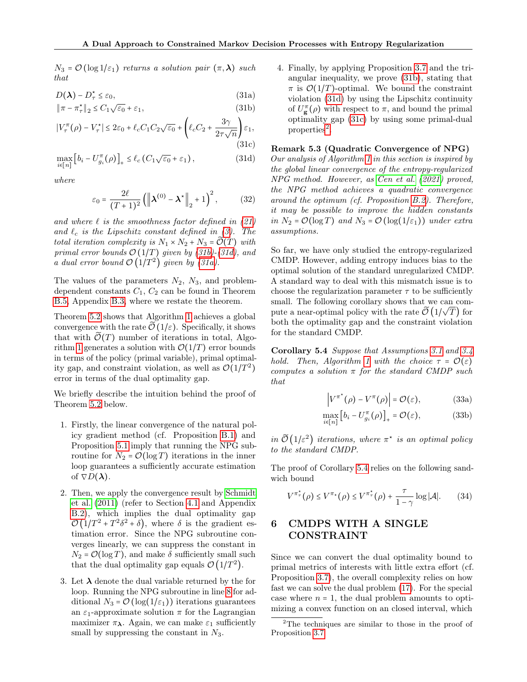$N_3 = \mathcal{O}(\log 1/\varepsilon_1)$  returns a solution pair  $(\pi, \lambda)$  such that

$$
D(\lambda) - D_{\tau}^{\star} \le \varepsilon_0,\tag{31a}
$$

$$
\|\pi - \pi_{\tau}^{\star}\|_2 \le C_1 \sqrt{\varepsilon_0} + \varepsilon_1,\tag{31b}
$$

$$
|V_{\tau}^{\pi}(\rho) - V_{\tau}^{\star}| \le 2\varepsilon_0 + \ell_c C_1 C_2 \sqrt{\varepsilon_0} + \left(\ell_c C_2 + \frac{3\gamma}{2\tau\sqrt{n}}\right)\varepsilon_1,
$$
\n(31c)

$$
\max_{i \in [n]} \left[ b_i - U_{g_i}^{\pi}(\rho) \right]_+ \le \ell_c \left( C_1 \sqrt{\varepsilon_0} + \varepsilon_1 \right),\tag{31d}
$$

where

$$
\varepsilon_0 = \frac{2\ell}{(T+1)^2} \left( \left\| \boldsymbol{\lambda}^{(0)} - \boldsymbol{\lambda}^{\star} \right\|_2 + 1 \right)^2, \tag{32}
$$

and where  $\ell$  is the smoothness factor defined in [\(21\)](#page-4-7) and  $\ell_c$  is the Lipschitz constant defined in [\(3\)](#page-2-3). The total iteration complexity is  $N_1 \times N_2 + N_3 = \widetilde{\mathcal{O}}(T)$  with primal error bounds  $\mathcal{O}(1/T)$  given by [\(31b\)](#page-7-0)-[\(31d\)](#page-7-1), and a dual error bound  $\mathcal{O}(1/T^2)$  given by [\(31a\)](#page-7-2).

The values of the parameters  $N_2$ ,  $N_3$ , and problemdependent constants  $C_1$ ,  $C_2$  can be found in Theorem [B.5,](#page-17-0) Appendix [B.3,](#page-16-0) where we restate the theorem.

Theorem [5.2](#page-6-8) shows that Algorithm [1](#page-6-0) achieves a global convergence with the rate  $\tilde{\mathcal{O}}(1/\varepsilon)$ . Specifically, it shows that with  $\mathcal{O}(T)$  number of iterations in total, Algo-rithm [1](#page-6-0) generates a solution with  $\mathcal{O}(1/T)$  error bounds in terms of the policy (primal variable), primal optimality gap, and constraint violation, as well as  $\mathcal{O}(1/T^2)$ error in terms of the dual optimality gap.

We briefly describe the intuition behind the proof of Theorem [5.2](#page-6-8) below.

- 1. Firstly, the linear convergence of the natural policy gradient method (cf. Proposition [B.1\)](#page-14-2) and Proposition [5.1](#page-6-7) imply that running the NPG subroutine for  $N_2 = \mathcal{O}(\log T)$  iterations in the inner loop guarantees a sufficiently accurate estimation of  $\nabla D(\lambda)$ .
- 2. Then, we apply the convergence result by [Schmidt](#page-9-16) [et al.](#page-9-16) [\(2011\)](#page-9-16) (refer to Section [4.1](#page-5-5) and Appendix [B.2\)](#page-15-1), which implies the dual optimality gap  $\mathcal{O}(1/T^2+T^2\delta^2+\delta)$ , where  $\delta$  is the gradient estimation error. Since the NPG subroutine converges linearly, we can suppress the constant in  $N_2 = \mathcal{O}(\log T)$ , and make  $\delta$  sufficiently small such that the dual optimality gap equals  $\mathcal{O}(1/T^2)$ .
- 3. Let  $\lambda$  denote the dual variable returned by the for loop. Running the NPG subroutine in line [8](#page-6-6) for additional  $N_3 = \mathcal{O}(\log(1/\varepsilon_1))$  iterations guarantees an  $\varepsilon_1$ -approximate solution  $\pi$  for the Lagrangian maximizer  $\pi_{\lambda}$ . Again, we can make  $\varepsilon_1$  sufficiently small by suppressing the constant in  $N_3$ .

<span id="page-7-2"></span><span id="page-7-0"></span>4. Finally, by applying Proposition [3.7](#page-4-3) and the triangular inequality, we prove [\(31b\)](#page-7-0), stating that  $\pi$  is  $\mathcal{O}(1/T)$ -optimal. We bound the constraint violation [\(31d\)](#page-7-1) by using the Lipschitz continuity of  $U_{\mathbf{g}}^{\pi}(\rho)$  with respect to  $\pi$ , and bound the primal optimality gap [\(31c\)](#page-7-3) by using some primal-dual  $proporties<sup>2</sup>$  $proporties<sup>2</sup>$  $proporties<sup>2</sup>$ .

### <span id="page-7-3"></span><span id="page-7-1"></span>Remark 5.3 (Quadratic Convergence of NPG)

Our analysis of Algorithm [1](#page-6-0) in this section is inspired by the global linear convergence of the entropy-regularized NPG method. However, as [Cen et al.](#page-8-10) [\(2021\)](#page-8-10) proved, the NPG method achieves a quadratic convergence around the optimum (cf. Proposition [B.2\)](#page-15-2). Therefore, it may be possible to improve the hidden constants in  $N_2 = \mathcal{O}(\log T)$  and  $N_3 = \mathcal{O}(\log(1/\varepsilon_1))$  under extra assumptions.

So far, we have only studied the entropy-regularized CMDP. However, adding entropy induces bias to the optimal solution of the standard unregularized CMDP. A standard way to deal with this mismatch issue is to choose the regularization parameter  $\tau$  to be sufficiently small. The following corollary shows that we can compute a near-optimal policy with the rate  $\mathcal{\tilde{O}}(1/\sqrt{T})$  for both the optimality gap and the constraint violation for the standard CMDP.

Corollary 5.4 Suppose that Assumptions [3.1](#page-3-0) and [3.4](#page-3-3) hold. Then, Algorithm [1](#page-6-0) with the choice  $\tau = \mathcal{O}(\varepsilon)$ computes a solution  $\pi$  for the standard CMDP such that

<span id="page-7-7"></span><span id="page-7-6"></span><span id="page-7-5"></span>
$$
\left|V^{\pi^*}(\rho) - V^{\pi}(\rho)\right| = \mathcal{O}(\varepsilon),\tag{33a}
$$

$$
\max_{i \in [n]} \left[ b_i - U_{g_i}^{\pi}(\rho) \right]_+ = \mathcal{O}(\varepsilon), \tag{33b}
$$

in  $\tilde{\mathcal{O}}(1/\varepsilon^2)$  iterations, where  $\pi^*$  is an optimal policy to the standard CMDP.

The proof of Corollary [5.4](#page-7-5) relies on the following sandwich bound

<span id="page-7-8"></span>
$$
V^{\pi_{\tau}^{\star}}(\rho) \le V^{\pi_{\star}}(\rho) \le V^{\pi_{\tau}^{\star}}(\rho) + \frac{\tau}{1-\gamma} \log |\mathcal{A}|.
$$
 (34)

# <span id="page-7-9"></span>6 CMDPS WITH A SINGLE CONSTRAINT

Since we can convert the dual optimality bound to primal metrics of interests with little extra effort (cf. Proposition [3.7\)](#page-4-3), the overall complexity relies on how fast we can solve the dual problem [\(17\)](#page-3-6). For the special case where  $n = 1$ , the dual problem amounts to optimizing a convex function on an closed interval, which

<span id="page-7-4"></span><sup>2</sup>The techniques are similar to those in the proof of Proposition [3.7.](#page-4-3)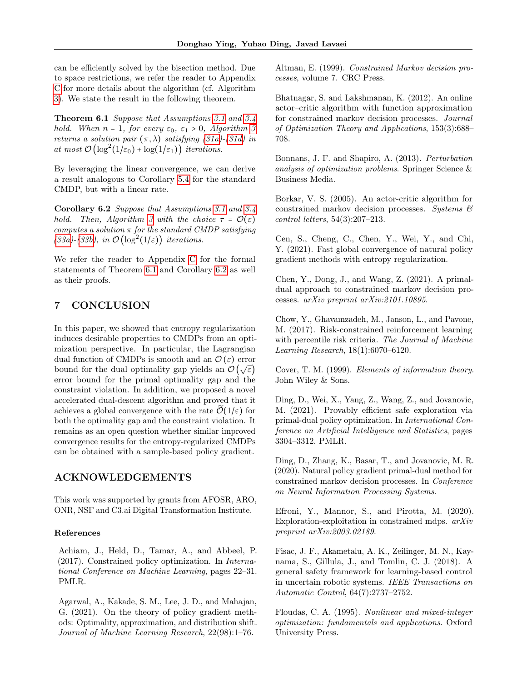can be efficiently solved by the bisection method. Due to space restrictions, we refer the reader to Appendix [C](#page-20-0) for more details about the algorithm (cf. Algorithm [3\)](#page-21-0). We state the result in the following theorem.

Theorem 6.1 Suppose that Assumptions [3.1](#page-3-0) and [3.4](#page-3-3) hold. When  $n = 1$ , for every  $\varepsilon_0$ ,  $\varepsilon_1 > 0$ , Algorithm [3](#page-21-0) returns a solution pair  $(\pi, \lambda)$  satisfying  $(31a)$ - $(31d)$  in at most  $\mathcal{O}\left(\log^2(1/\varepsilon_0) + \log(1/\varepsilon_1)\right)$  iterations.

By leveraging the linear convergence, we can derive a result analogous to Corollary [5.4](#page-7-5) for the standard CMDP, but with a linear rate.

Corollary 6.2 Suppose that Assumptions [3.1](#page-3-0) and [3.4](#page-3-3) hold. Then, Algorithm [3](#page-21-0) with the choice  $\tau = \mathcal{O}(\varepsilon)$ computes a solution  $\pi$  for the standard CMDP satisfying [\(33a\)](#page-7-6)-[\(33b\)](#page-7-7), in  $\mathcal{O}(\log^2(1/\varepsilon))$  iterations.

We refer the reader to Appendix [C](#page-20-0) for the formal statements of Theorem [6.1](#page-8-15) and Corollary [6.2](#page-8-16) as well as their proofs.

# 7 CONCLUSION

In this paper, we showed that entropy regularization induces desirable properties to CMDPs from an optimization perspective. In particular, the Lagrangian dual function of CMDPs is smooth and an  $\mathcal{O}(\varepsilon)$  error bound for the dual optimality gap yields an  $\mathcal{O}(\sqrt{\varepsilon})$ error bound for the primal optimality gap and the constraint violation. In addition, we proposed a novel accelerated dual-descent algorithm and proved that it achieves a global convergence with the rate  $\mathcal{O}(1/\varepsilon)$  for both the optimality gap and the constraint violation. It remains as an open question whether similar improved convergence results for the entropy-regularized CMDPs can be obtained with a sample-based policy gradient.

# ACKNOWLEDGEMENTS

This work was supported by grants from AFOSR, ARO, ONR, NSF and C3.ai Digital Transformation Institute.

### References

<span id="page-8-2"></span>Achiam, J., Held, D., Tamar, A., and Abbeel, P. (2017). Constrained policy optimization. In International Conference on Machine Learning, pages 22–31. PMLR.

<span id="page-8-11"></span>Agarwal, A., Kakade, S. M., Lee, J. D., and Mahajan, G. (2021). On the theory of policy gradient methods: Optimality, approximation, and distribution shift. Journal of Machine Learning Research, 22(98):1–76.

<span id="page-8-1"></span>Altman, E. (1999). Constrained Markov decision processes, volume 7. CRC Press.

<span id="page-8-15"></span><span id="page-8-4"></span>Bhatnagar, S. and Lakshmanan, K. (2012). An online actor–critic algorithm with function approximation for constrained markov decision processes. Journal of Optimization Theory and Applications, 153(3):688– 708.

<span id="page-8-14"></span>Bonnans, J. F. and Shapiro, A. (2013). Perturbation analysis of optimization problems. Springer Science & Business Media.

<span id="page-8-16"></span><span id="page-8-5"></span>Borkar, V. S. (2005). An actor-critic algorithm for constrained markov decision processes. Systems  $\mathcal{C}$ control letters, 54(3):207–213.

<span id="page-8-10"></span>Cen, S., Cheng, C., Chen, Y., Wei, Y., and Chi, Y. (2021). Fast global convergence of natural policy gradient methods with entropy regularization.

<span id="page-8-9"></span>Chen, Y., Dong, J., and Wang, Z. (2021). A primaldual approach to constrained markov decision processes. arXiv preprint arXiv:2101.10895.

<span id="page-8-3"></span>Chow, Y., Ghavamzadeh, M., Janson, L., and Pavone, M. (2017). Risk-constrained reinforcement learning with percentile risk criteria. The Journal of Machine Learning Research, 18(1):6070–6120.

<span id="page-8-12"></span>Cover, T. M. (1999). Elements of information theory. John Wiley & Sons.

<span id="page-8-7"></span>Ding, D., Wei, X., Yang, Z., Wang, Z., and Jovanovic, M. (2021). Provably efficient safe exploration via primal-dual policy optimization. In International Conference on Artificial Intelligence and Statistics, pages 3304–3312. PMLR.

<span id="page-8-6"></span>Ding, D., Zhang, K., Basar, T., and Jovanovic, M. R. (2020). Natural policy gradient primal-dual method for constrained markov decision processes. In Conference on Neural Information Processing Systems.

<span id="page-8-8"></span>Efroni, Y., Mannor, S., and Pirotta, M. (2020). Exploration-exploitation in constrained mdps. arXiv preprint arXiv:2003.02189.

<span id="page-8-0"></span>Fisac, J. F., Akametalu, A. K., Zeilinger, M. N., Kaynama, S., Gillula, J., and Tomlin, C. J. (2018). A general safety framework for learning-based control in uncertain robotic systems. IEEE Transactions on Automatic Control, 64(7):2737–2752.

<span id="page-8-13"></span>Floudas, C. A. (1995). Nonlinear and mixed-integer optimization: fundamentals and applications. Oxford University Press.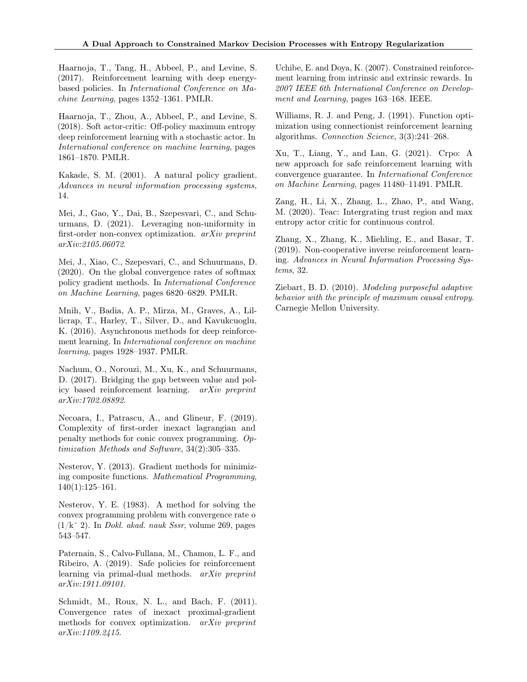<span id="page-9-10"></span>Haarnoja, T., Tang, H., Abbeel, P., and Levine, S. (2017). Reinforcement learning with deep energybased policies. In International Conference on Machine Learning, pages 1352–1361. PMLR.

<span id="page-9-5"></span>Haarnoja, T., Zhou, A., Abbeel, P., and Levine, S. (2018). Soft actor-critic: Off-policy maximum entropy deep reinforcement learning with a stochastic actor. In International conference on machine learning, pages 1861–1870. PMLR.

<span id="page-9-13"></span>Kakade, S. M. (2001). A natural policy gradient. Advances in neural information processing systems, 14.

<span id="page-9-12"></span>Mei, J., Gao, Y., Dai, B., Szepesvari, C., and Schuurmans, D. (2021). Leveraging non-uniformity in first-order non-convex optimization. arXiv preprint arXiv:2105.06072.

<span id="page-9-7"></span>Mei, J., Xiao, C., Szepesvari, C., and Schuurmans, D. (2020). On the global convergence rates of softmax policy gradient methods. In International Conference on Machine Learning, pages 6820–6829. PMLR.

<span id="page-9-4"></span>Mnih, V., Badia, A. P., Mirza, M., Graves, A., Lillicrap, T., Harley, T., Silver, D., and Kavukcuoglu, K. (2016). Asynchronous methods for deep reinforcement learning. In International conference on machine learning, pages 1928–1937. PMLR.

<span id="page-9-17"></span>Nachum, O., Norouzi, M., Xu, K., and Schuurmans, D. (2017). Bridging the gap between value and policy based reinforcement learning. arXiv preprint arXiv:1702.08892.

<span id="page-9-11"></span>Necoara, I., Patrascu, A., and Glineur, F. (2019). Complexity of first-order inexact lagrangian and penalty methods for conic convex programming. Optimization Methods and Software, 34(2):305–335.

<span id="page-9-15"></span>Nesterov, Y. (2013). Gradient methods for minimizing composite functions. Mathematical Programming, 140(1):125–161.

<span id="page-9-14"></span>Nesterov, Y. E. (1983). A method for solving the convex programming problem with convergence rate o  $(1/k<sup>2</sup>)$ . In *Dokl. akad. nauk Sssr*, volume 269, pages 543–547.

<span id="page-9-8"></span>Paternain, S., Calvo-Fullana, M., Chamon, L. F., and Ribeiro, A. (2019). Safe policies for reinforcement learning via primal-dual methods. arXiv preprint arXiv:1911.09101.

<span id="page-9-16"></span>Schmidt, M., Roux, N. L., and Bach, F. (2011). Convergence rates of inexact proximal-gradient methods for convex optimization. arXiv preprint arXiv:1109.2415.

<span id="page-9-1"></span>Uchibe, E. and Doya, K. (2007). Constrained reinforcement learning from intrinsic and extrinsic rewards. In 2007 IEEE 6th International Conference on Development and Learning, pages 163–168. IEEE.

<span id="page-9-3"></span>Williams, R. J. and Peng, J. (1991). Function optimization using connectionist reinforcement learning algorithms. Connection Science, 3(3):241–268.

<span id="page-9-2"></span>Xu, T., Liang, Y., and Lan, G. (2021). Crpo: A new approach for safe reinforcement learning with convergence guarantee. In International Conference on Machine Learning, pages 11480–11491. PMLR.

<span id="page-9-6"></span>Zang, H., Li, X., Zhang, L., Zhao, P., and Wang, M. (2020). Teac: Intergrating trust region and max entropy actor critic for continuous control.

<span id="page-9-0"></span>Zhang, X., Zhang, K., Miehling, E., and Basar, T. (2019). Non-cooperative inverse reinforcement learning. Advances in Neural Information Processing Systems, 32.

<span id="page-9-9"></span>Ziebart, B. D. (2010). Modeling purposeful adaptive behavior with the principle of maximum causal entropy. Carnegie Mellon University.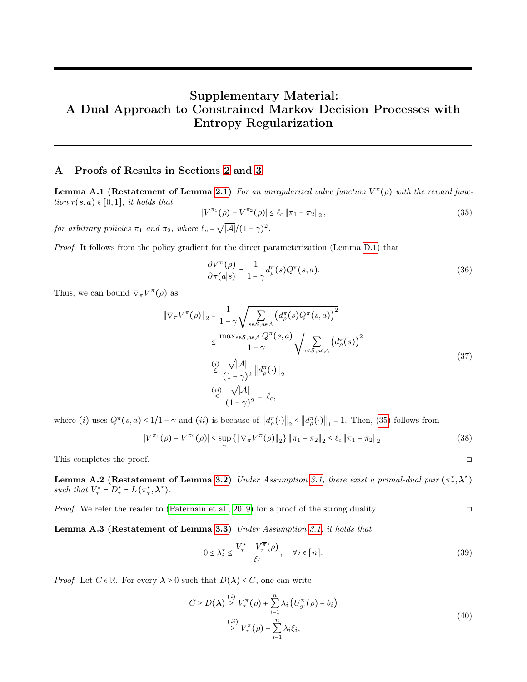# Supplementary Material: A Dual Approach to Constrained Markov Decision Processes with Entropy Regularization

# <span id="page-10-0"></span>A Proofs of Results in Sections [2](#page-1-0) and [3](#page-3-5)

<span id="page-10-3"></span>**Lemma A.1 (Restatement of Lemma [2.1\)](#page-2-0)** For an unregularized value function  $V^{\pi}(\rho)$  with the reward function  $r(s, a) \in [0, 1]$ , it holds that

<span id="page-10-1"></span>
$$
|V^{\pi_1}(\rho) - V^{\pi_2}(\rho)| \le \ell_c \| \pi_1 - \pi_2 \|_2,
$$
\n(35)

for arbitrary policies  $\pi_1$  and  $\pi_2$ , where  $\ell_c$  =  $\overline{|A|}/(1-\gamma)^2$ .

Proof. It follows from the policy gradient for the direct parameterization (Lemma [D.1\)](#page-22-2) that

$$
\frac{\partial V^{\pi}(\rho)}{\partial \pi(a|s)} = \frac{1}{1-\gamma} d_{\rho}^{\pi}(s) Q^{\pi}(s, a). \tag{36}
$$

Thus, we can bound  $\nabla_{\pi} V^{\pi}(\rho)$  as

$$
\|\nabla_{\pi}V^{\pi}(\rho)\|_{2} = \frac{1}{1-\gamma} \sqrt{\sum_{s\in\mathcal{S},a\in\mathcal{A}} \left(d_{\rho}^{\pi}(s)Q^{\pi}(s,a)\right)^{2}}
$$
  
\n
$$
\leq \frac{\max_{s\in\mathcal{S},a\in\mathcal{A}} Q^{\pi}(s,a)}{1-\gamma} \sqrt{\sum_{s\in\mathcal{S},a\in\mathcal{A}} \left(d_{\rho}^{\pi}(s)\right)^{2}}
$$
  
\n
$$
\stackrel{\text{(i)}}{\leq} \frac{\sqrt{|\mathcal{A}|}}{(1-\gamma)^{2}} \left\|d_{\rho}^{\pi}(\cdot)\right\|_{2}
$$
  
\n
$$
\stackrel{\text{(ii)}}{\leq} \frac{\sqrt{|\mathcal{A}|}}{(1-\gamma)^{2}} =: \ell_{c},
$$
\n(37)

where (*i*) uses  $Q^{\pi}(s, a) \leq 1/1 - \gamma$  and (*ii*) is because of  $||d^{\pi}_{\rho}(\cdot)||_{2} \leq ||d^{\pi}_{\rho}(\cdot)||_{1} = 1$ . Then, [\(35\)](#page-10-1) follows from

$$
|V^{\pi_1}(\rho) - V^{\pi_2}(\rho)| \le \sup_{\pi} \{ \|\nabla_{\pi} V^{\pi}(\rho)\|_{2} \} \, \|\pi_1 - \pi_2\|_2 \le \ell_c \, \|\pi_1 - \pi_2\|_2 \,.
$$

This completes the proof. □

**Lemma A.2 (Restatement of Lemma [3.2\)](#page-3-1)** Under Assumption [3.1,](#page-3-0) there exist a primal-dual pair  $(\pi_\tau^*, \lambda^*)$ such that  $V^*_{\tau} = D^*_{\tau} = L(\pi^*_{\tau}, \lambda^*)$ .

Proof. We refer the reader to [\(Paternain et al., 2019\)](#page-9-8) for a proof of the strong duality. ◻

Lemma A.3 (Restatement of Lemma [3.3\)](#page-3-2) Under Assumption [3.1,](#page-3-0) it holds that

$$
0 \le \lambda_i^* \le \frac{V_\tau^* - V_\tau^{\overline{\pi}}(\rho)}{\xi_i}, \quad \forall i \in [n]. \tag{39}
$$

*Proof.* Let  $C \in \mathbb{R}$ . For every  $\lambda \geq 0$  such that  $D(\lambda) \leq C$ , one can write

<span id="page-10-2"></span>
$$
C \ge D(\lambda) \stackrel{(i)}{\ge} V_{\tau}^{\overline{\pi}}(\rho) + \sum_{i=1}^{n} \lambda_i \left( U_{g_i}^{\overline{\pi}}(\rho) - b_i \right)
$$
  

$$
\stackrel{(ii)}{\ge} V_{\tau}^{\overline{\pi}}(\rho) + \sum_{i=1}^{n} \lambda_i \xi_i,
$$
 (40)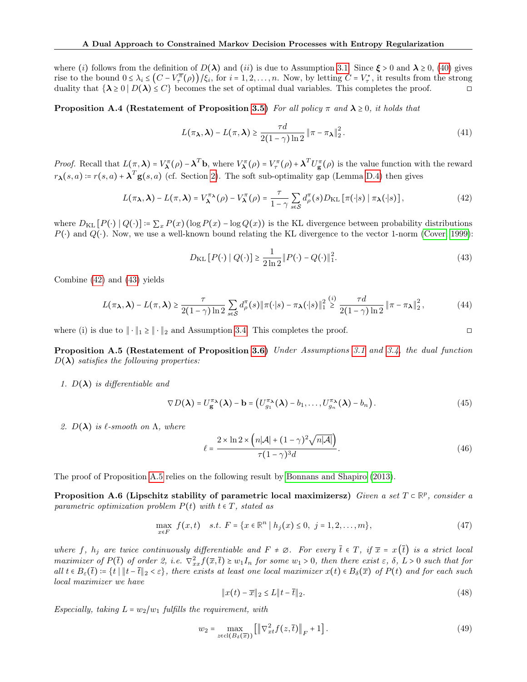where (i) follows from the definition of  $D(\lambda)$  and (ii) is due to Assumption [3.1.](#page-3-0) Since  $\xi > 0$  and  $\lambda \ge 0$ , [\(40\)](#page-10-2) gives rise to the bound  $0 \leq \lambda_i \leq (C - V^{\overline{\pi}}_{\tau}(\rho)) / \xi_i$ , for  $i = 1, 2, ..., n$ . Now, by letting  $C = V^{\star}_{\tau}$ , it results from the strong duality that  $\{\lambda \geq 0 \mid D(\lambda) \leq C\}$  becomes the set of optimal dual variables. This completes the proof.

**Proposition A.4 (Restatement of Proposition [3.5\)](#page-4-0)** For all policy  $\pi$  and  $\lambda \ge 0$ , it holds that

$$
L(\pi_{\lambda}, \lambda) - L(\pi, \lambda) \ge \frac{\tau d}{2(1 - \gamma) \ln 2} \|\pi - \pi_{\lambda}\|_2^2.
$$
 (41)

*Proof.* Recall that  $L(\pi, \lambda) = V_{\lambda}^{\pi}(\rho) - \lambda^{T}b$ , where  $V_{\lambda}^{\pi}(\rho) = V_{\tau}^{\pi}(\rho) + \lambda^{T}U_{g}^{\pi}(\rho)$  is the value function with the reward  $r_{\lambda}(s, a) = r(s, a) + \lambda^{T} g(s, a)$  (cf. Section [2\)](#page-1-0). The soft sub-optimality gap (Lemma [D.4\)](#page-22-0) then gives

<span id="page-11-0"></span>
$$
L(\pi_{\lambda}, \lambda) - L(\pi, \lambda) = V_{\lambda}^{\pi_{\lambda}}(\rho) - V_{\lambda}^{\pi}(\rho) = \frac{\tau}{1 - \gamma} \sum_{s \in S} d_{\rho}^{\pi}(s) D_{\mathrm{KL}}\left[\pi(\cdot|s) \mid \pi_{\lambda}(\cdot|s)\right],\tag{42}
$$

where  $D_{\text{KL}}[P(\cdot) | Q(\cdot)] = \sum_x P(x) (\log P(x) - \log Q(x))$  is the KL divergence between probability distributions  $P(\cdot)$  and  $Q(\cdot)$ . Now, we use a well-known bound relating the KL divergence to the vector 1-norm [\(Cover, 1999\)](#page-8-12):

<span id="page-11-1"></span>
$$
D_{\text{KL}}[P(\cdot) | Q(\cdot)] \ge \frac{1}{2\ln 2} || P(\cdot) - Q(\cdot) ||_1^2.
$$
 (43)

Combine [\(42\)](#page-11-0) and [\(43\)](#page-11-1) yields

$$
L(\pi_{\lambda}, \lambda) - L(\pi, \lambda) \ge \frac{\tau}{2(1-\gamma)\ln 2} \sum_{s \in \mathcal{S}} d_{\rho}^{\pi}(s) \|\pi(\cdot|s) - \pi_{\lambda}(\cdot|s)\|_{1}^{2} \stackrel{(i)}{\ge} \frac{\tau d}{2(1-\gamma)\ln 2} \|\pi - \pi_{\lambda}\|_{2}^{2},
$$
 (44)

where (i) is due to  $\|\cdot\|_1 \ge \|\cdot\|_2$  and Assumption [3.4.](#page-3-3) This completes the proof.

<span id="page-11-2"></span>Proposition A.5 (Restatement of Proposition [3.6\)](#page-4-1) Under Assumptions [3.1](#page-3-0) and [3.4,](#page-3-3) the dual function  $D(\lambda)$  satisfies the following properties:

1.  $D(\lambda)$  is differentiable and

$$
\nabla D(\boldsymbol{\lambda}) = U_{\mathbf{g}}^{\pi_{\boldsymbol{\lambda}}}(\boldsymbol{\lambda}) - \mathbf{b} = (U_{g_1}^{\pi_{\boldsymbol{\lambda}}}(\boldsymbol{\lambda}) - b_1, \dots, U_{g_n}^{\pi_{\boldsymbol{\lambda}}}(\boldsymbol{\lambda}) - b_n).
$$
(45)

2.  $D(\lambda)$  is  $\ell$ -smooth on  $\Lambda$ , where

$$
\ell = \frac{2 \times \ln 2 \times \left( n|\mathcal{A}| + (1-\gamma)^2 \sqrt{n|\mathcal{A}|} \right)}{\tau (1-\gamma)^3 d}.
$$
\n(46)

The proof of Proposition [A.5](#page-11-2) relies on the following result by [Bonnans and Shapiro](#page-8-14) [\(2013\)](#page-8-14).

Proposition A.6 (Lipschitz stability of parametric local maximizersz) Given a set  $T \in \mathbb{R}^p$ , consider a parametric optimization problem  $P(t)$  with  $t \in T$ , stated as

$$
\max_{x \in F} f(x, t) \quad s.t. \ F = \{x \in \mathbb{R}^n \mid h_j(x) \le 0, \ j = 1, 2, \dots, m\},\tag{47}
$$

where f,  $h_i$  are twice continuously differentiable and  $F \neq \emptyset$ . For every  $\bar{t} \in T$ , if  $\bar{x} = x(\bar{t})$  is a strict local maximizer of  $P(\bar{t})$  of order 2, i.e.  $\nabla_{xx}^2 f(\bar{x}, \bar{t}) \geq w_1 I_n$  for some  $w_1 > 0$ , then there exist  $\varepsilon$ ,  $\delta$ ,  $L > 0$  such that for all  $t \in B_{\varepsilon}(\bar{t}) \coloneqq \{t \mid ||t - \bar{t}||_2 < \varepsilon\}$ , there exists at least one local maximizer  $x(t) \in B_{\delta}(\bar{x})$  of  $P(t)$  and for each such local maximizer we have

$$
\|x(t) - \overline{x}\|_2 \le L \|t - \overline{t}\|_2.
$$
 (48)

Especially, taking  $L = w_2/w_1$  fulfills the requirement, with

$$
w_2 = \max_{z \in \text{cl}(B_\delta(\overline{x}))} \left[ \left\| \nabla_{xt}^2 f(z, \overline{t}) \right\|_F + 1 \right]. \tag{49}
$$

<span id="page-11-3"></span>
$$
\Box
$$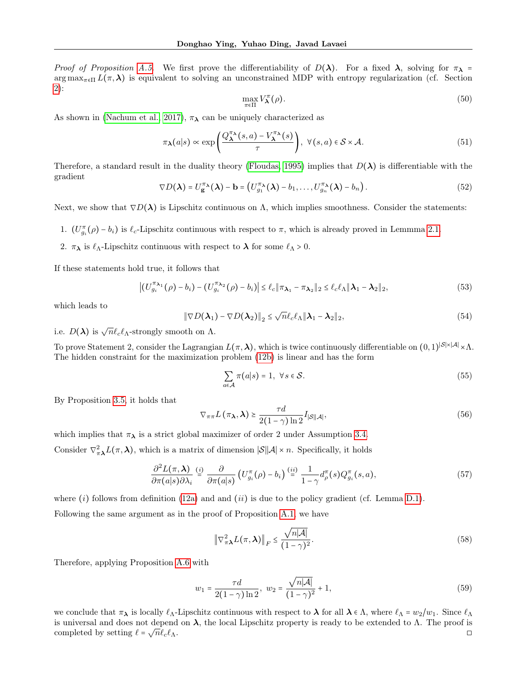Proof of Proposition [A.5.](#page-11-2) We first prove the differentiability of  $D(\lambda)$ . For a fixed  $\lambda$ , solving for  $\pi_{\lambda}$  =  $\arg \max_{\pi \in \Pi} L(\pi, \lambda)$  is equivalent to solving an unconstrained MDP with entropy regularization (cf. Section [2\)](#page-1-0):

$$
\max_{\pi \in \Pi} V_{\boldsymbol{\lambda}}^{\pi}(\rho). \tag{50}
$$

As shown in [\(Nachum et al., 2017\)](#page-9-17),  $\pi_{\lambda}$  can be uniquely characterized as

$$
\pi_{\lambda}(a|s) \propto \exp\left(\frac{Q_{\lambda}^{\pi_{\lambda}}(s,a) - V_{\lambda}^{\pi_{\lambda}}(s)}{\tau}\right), \ \forall (s,a) \in \mathcal{S} \times \mathcal{A}.
$$
\n(51)

Therefore, a standard result in the duality theory [\(Floudas, 1995\)](#page-8-13) implies that  $D(\lambda)$  is differentiable with the gradient

$$
\nabla D(\boldsymbol{\lambda}) = U_{\mathbf{g}}^{\pi_{\boldsymbol{\lambda}}}(\boldsymbol{\lambda}) - \mathbf{b} = (U_{g_1}^{\pi_{\boldsymbol{\lambda}}}(\boldsymbol{\lambda}) - b_1, \dots, U_{g_n}^{\pi_{\boldsymbol{\lambda}}}(\boldsymbol{\lambda}) - b_n).
$$
(52)

Next, we show that  $\nabla D(\lambda)$  is Lipschitz continuous on  $\Lambda$ , which implies smoothness. Consider the statements:

1.  $(U^{\pi}_{g_i}(\rho) - b_i)$  is  $\ell_c$ -Lipschitz continuous with respect to  $\pi$ , which is already proved in Lemmma [2.1.](#page-2-0)

2.  $\pi_{\lambda}$  is  $\ell_{\Lambda}$ -Lipschitz continuous with respect to  $\lambda$  for some  $\ell_{\Lambda} > 0$ .

If these statements hold true, it follows that

$$
\left| \left( U_{g_i}^{\pi_{\lambda_1}}(\rho) - b_i \right) - \left( U_{g_i}^{\pi_{\lambda_2}}(\rho) - b_i \right) \right| \le \ell_c \|\pi_{\lambda_1} - \pi_{\lambda_2}\|_2 \le \ell_c \ell_{\Lambda} \|\lambda_1 - \lambda_2\|_2,
$$
\n(53)

which leads to

$$
\|\nabla D(\boldsymbol{\lambda}_1) - \nabla D(\boldsymbol{\lambda}_2)\|_2 \le \sqrt{n} \ell_c \ell_\Lambda \|\boldsymbol{\lambda}_1 - \boldsymbol{\lambda}_2\|_2,
$$
\n(54)

i.e.  $D(\lambda)$  is  $\sqrt{n}\ell_c\ell_{\Lambda}$ -strongly smooth on  $\Lambda$ .

To prove Statement 2, consider the Lagrangian  $L(\pi, \lambda)$ , which is twice continuously differentiable on  $(0, 1)^{|S| \times |A|} \times \Lambda$ . The hidden constraint for the maximization problem [\(12b\)](#page-2-5) is linear and has the form

$$
\sum_{a \in \mathcal{A}} \pi(a|s) = 1, \ \forall s \in \mathcal{S}.\tag{55}
$$

By Proposition [3.5,](#page-4-0) it holds that

$$
\nabla_{\pi\pi} L(\pi_{\lambda}, \lambda) \ge \frac{\tau d}{2(1-\gamma)\ln 2} I_{|\mathcal{S}||\mathcal{A}|},\tag{56}
$$

which implies that  $\pi_{\lambda}$  is a strict global maximizer of order 2 under Assumption [3.4.](#page-3-3)

Consider  $\nabla_{\pi\lambda}^2 L(\pi,\lambda)$ , which is a matrix of dimension  $|\mathcal{S}||\mathcal{A}| \times n$ . Specifically, it holds

$$
\frac{\partial^2 L(\pi, \lambda)}{\partial \pi(a|s) \partial \lambda_i} \stackrel{(i)}{=} \frac{\partial}{\partial \pi(a|s)} \left( U_{g_i}^{\pi}(\rho) - b_i \right) \stackrel{(ii)}{=} \frac{1}{1 - \gamma} d_{\rho}^{\pi}(s) Q_{g_i}^{\pi}(s, a), \tag{57}
$$

where (i) follows from definition [\(12a\)](#page-2-1) and and (ii) is due to the policy gradient (cf. Lemma [D.1\)](#page-22-2).

Following the same argument as in the proof of Proposition [A.1,](#page-10-3) we have

$$
\left\|\nabla_{\pi\lambda}^{2}L(\pi,\lambda)\right\|_{F} \leq \frac{\sqrt{n|\mathcal{A}|}}{(1-\gamma)^{2}}.
$$
\n(58)

Therefore, applying Proposition [A.6](#page-11-3) with

$$
w_1 = \frac{\tau d}{2(1-\gamma)\ln 2}, \ w_2 = \frac{\sqrt{n|\mathcal{A}|}}{(1-\gamma)^2} + 1,\tag{59}
$$

we conclude that  $\pi_{\lambda}$  is locally  $\ell_{\Lambda}$ -Lipschitz continuous with respect to  $\lambda$  for all  $\lambda \in \Lambda$ , where  $\ell_{\Lambda} = w_2/w_1$ . Since  $\ell_{\Lambda}$ is universal and does not depend on  $\lambda$ , the local Lipschitz property is ready to be extended to  $\Lambda$ . The proof is completed by setting  $\ell = \sqrt{n} \ell_c \ell_{\Lambda}$ .  $\overline{n}\ell_c\ell_\Lambda.$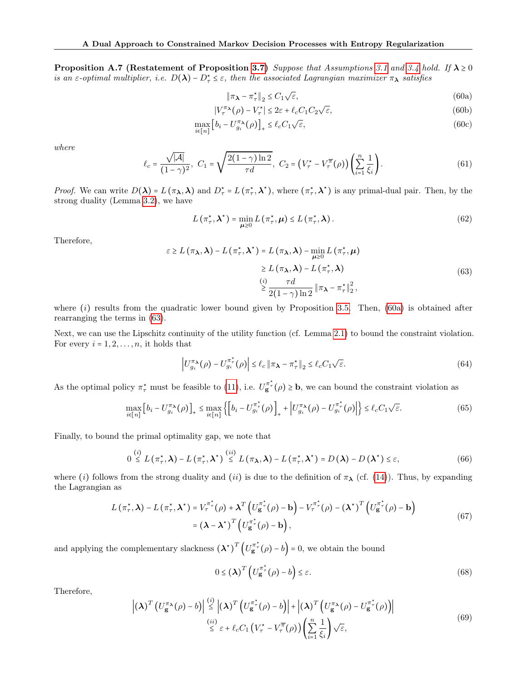**Proposition A.7 (Restatement of Proposition [3.7\)](#page-4-3)** Suppose that Assumptions [3.1](#page-3-0) and [3.4](#page-3-3) hold. If  $\lambda \ge 0$ is an  $\varepsilon$ -optimal multiplier, i.e.  $D(\lambda) - D_{\tau}^* \leq \varepsilon$ , then the associated Lagrangian maximizer  $\pi_{\lambda}$  satisfies

<span id="page-13-0"></span>
$$
\|\pi_{\lambda} - \pi_{\tau}^{\star}\|_{2} \le C_{1} \sqrt{\varepsilon},\tag{60a}
$$

$$
|V_{\tau}^{\pi_{\lambda}}(\rho) - V_{\tau}^{\star}| \le 2\varepsilon + \ell_c C_1 C_2 \sqrt{\varepsilon},
$$
\n(60b)

$$
\max_{i \in [n]} \left[ b_i - U_{g_i}^{\pi_\lambda}(\rho) \right]_+ \le \ell_c C_1 \sqrt{\varepsilon},\tag{60c}
$$

where

$$
\ell_c = \frac{\sqrt{|\mathcal{A}|}}{(1-\gamma)^2}, \ C_1 = \sqrt{\frac{2(1-\gamma)\ln 2}{\tau d}}, \ C_2 = \left(V_\tau^\star - V_\tau^\overline{\pi}(\rho)\right) \left(\sum_{i=1}^n \frac{1}{\xi_i}\right). \tag{61}
$$

*Proof.* We can write  $D(\lambda) = L(\pi_{\lambda}, \lambda)$  and  $D_{\tau}^* = L(\pi_{\tau}^*, \lambda^*)$ , where  $(\pi_{\tau}^*, \lambda^*)$  is any primal-dual pair. Then, by the strong duality (Lemma [3.2\)](#page-3-1), we have

$$
L\left(\pi_{\tau}^{\star},\boldsymbol{\lambda}^{\star}\right)=\min_{\boldsymbol{\mu}\geq0}L\left(\pi_{\tau}^{\star},\boldsymbol{\mu}\right)\leq L\left(\pi_{\tau}^{\star},\boldsymbol{\lambda}\right).
$$
\n(62)

Therefore,

<span id="page-13-1"></span>
$$
\varepsilon \ge L(\pi_{\lambda}, \lambda) - L(\pi_{\tau}^{*}, \lambda^{*}) = L(\pi_{\lambda}, \lambda) - \min_{\mu \ge 0} L(\pi_{\tau}^{*}, \mu)
$$
  
\n
$$
\ge L(\pi_{\lambda}, \lambda) - L(\pi_{\tau}^{*}, \lambda)
$$
  
\n(i)  $\tau d$   
\n
$$
\ge \frac{\tau d}{2(1-\gamma)\ln 2} ||\pi_{\lambda} - \pi_{\tau}^{*}||_{2}^{2},
$$
\n(63)

where  $(i)$  results from the quadratic lower bound given by Proposition [3.5.](#page-4-0) Then,  $(60a)$  is obtained after rearranging the terms in [\(63\)](#page-13-1).

Next, we can use the Lipschitz continuity of the utility function (cf. Lemma [2.1\)](#page-2-0) to bound the constraint violation. For every  $i = 1, 2, \ldots, n$ , it holds that

<span id="page-13-2"></span>
$$
\left| U_{g_i}^{\pi_{\lambda}}(\rho) - U_{g_i}^{\pi_{\tau}^{\star}}(\rho) \right| \le \ell_c \left\| \pi_{\lambda} - \pi_{\tau}^{\star} \right\|_2 \le \ell_c C_1 \sqrt{\varepsilon}.
$$
\n(64)

As the optimal policy  $\pi^*_{\tau}$  must be feasible to [\(11\)](#page-2-2), i.e.  $U^{\pi^*}_{g}(\rho) \geq b$ , we can bound the constraint violation as

$$
\max_{i \in [n]} \left[ b_i - U_{g_i}^{\pi \star}(\rho) \right]_+ \leq \max_{i \in [n]} \left\{ \left[ b_i - U_{g_i}^{\pi \star}(\rho) \right]_+ + \left| U_{g_i}^{\pi \star}(\rho) - U_{g_i}^{\pi \star}(\rho) \right| \right\} \leq \ell_c C_1 \sqrt{\varepsilon}.
$$
\n(65)

Finally, to bound the primal optimality gap, we note that

$$
0 \stackrel{(i)}{\leq} L(\pi_{\tau}^{\star}, \lambda) - L(\pi_{\tau}^{\star}, \lambda^{\star}) \stackrel{(ii)}{\leq} L(\pi_{\lambda}, \lambda) - L(\pi_{\tau}^{\star}, \lambda^{\star}) = D(\lambda) - D(\lambda^{\star}) \leq \varepsilon,
$$
\n(66)

where (i) follows from the strong duality and (ii) is due to the definition of  $\pi_{\lambda}$  (cf. [\(14\)](#page-3-4)). Thus, by expanding the Lagrangian as

$$
L(\pi_{\tau}^{\star}, \lambda) - L(\pi_{\tau}^{\star}, \lambda^{\star}) = V_{\tau}^{\pi_{\tau}^{\star}}(\rho) + \lambda^{T} \left( U_{g}^{\pi_{\tau}^{\star}}(\rho) - b \right) - V_{\tau}^{\pi_{\tau}^{\star}}(\rho) - (\lambda^{\star})^{T} \left( U_{g}^{\pi_{\tau}^{\star}}(\rho) - b \right)
$$
  
=  $(\lambda - \lambda^{\star})^{T} \left( U_{g}^{\pi_{\tau}^{\star}}(\rho) - b \right),$  (67)

and applying the complementary slackness  $(\lambda^*)^T \left( U_{\mathbf{g}}^{\pi^*}(\rho) - b \right) = 0$ , we obtain the bound

$$
0 \le \left(\boldsymbol{\lambda}\right)^{T} \left(U_{\mathbf{g}}^{\pi_{\tau}^{*}}\left(\rho\right) - b\right) \le \varepsilon. \tag{68}
$$

Therefore,

<span id="page-13-3"></span>
$$
\left| \left( \lambda \right)^T \left( U_{\mathbf{g}}^{\pi_{\lambda}}(\rho) - b \right) \right| \stackrel{(i)}{\leq} \left| \left( \lambda \right)^T \left( U_{\mathbf{g}}^{\pi_{\tau}^*}(\rho) - b \right) \right| + \left| \left( \lambda \right)^T \left( U_{\mathbf{g}}^{\pi_{\lambda}}(\rho) - U_{\mathbf{g}}^{\pi_{\tau}^*}(\rho) \right) \right|
$$
\n
$$
\stackrel{(ii)}{\leq} \varepsilon + \ell_c C_1 \left( V_{\tau}^{\star} - V_{\tau}^{\pi}(\rho) \right) \left( \sum_{i=1}^n \frac{1}{\xi_i} \right) \sqrt{\varepsilon}, \tag{69}
$$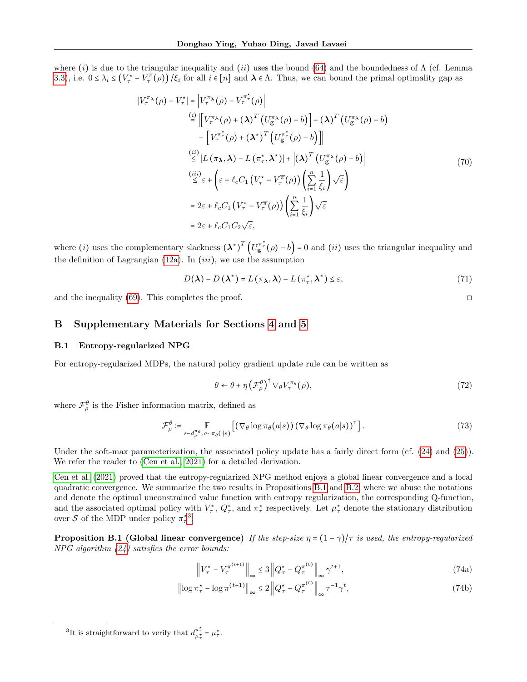where (i) is due to the triangular inequality and (ii) uses the bound [\(64\)](#page-13-2) and the boundedness of  $\Lambda$  (cf. Lemma [3.3\)](#page-3-2), i.e.  $0 \leq \lambda_i \leq (V_\tau^* - V_\tau^{\overline{\pi}}(\rho)) / \xi_i$  for all  $i \in [n]$  and  $\lambda \in \Lambda$ . Thus, we can bound the primal optimality gap as

$$
|V_{\tau}^{\pi_{\lambda}}(\rho) - V_{\tau}^{\star}| = |V_{\tau}^{\pi_{\lambda}}(\rho) - V_{\tau}^{\pi_{\tau}^{\star}}(\rho)|
$$
\n
$$
\stackrel{(i)}{=} \left| \left[ V_{\tau}^{\pi_{\lambda}}(\rho) + (\lambda)^{T} \left( U_{\mathbf{g}}^{\pi_{\lambda}}(\rho) - b \right) \right] - (\lambda)^{T} \left( U_{\mathbf{g}}^{\pi_{\lambda}}(\rho) - b \right) \right|
$$
\n
$$
- \left[ V_{\tau}^{\pi_{\tau}^{\star}}(\rho) + (\lambda^{\star})^{T} \left( U_{\mathbf{g}}^{\pi_{\tau}^{\star}}(\rho) - b \right) \right] |
$$
\n
$$
\stackrel{(ii)}{\leq} |L(\pi_{\lambda}, \lambda) - L(\pi_{\tau}^{\star}, \lambda^{\star})| + |(\lambda)^{T} \left( U_{\mathbf{g}}^{\pi_{\lambda}}(\rho) - b \right)|
$$
\n
$$
\stackrel{(iii)}{\leq} \varepsilon + \left( \varepsilon + \ell_{c} C_{1} \left( V_{\tau}^{\star} - V_{\tau}^{\pi}(\rho) \right) \left( \sum_{i=1}^{n} \frac{1}{\xi_{i}} \right) \sqrt{\varepsilon} \right)
$$
\n
$$
= 2\varepsilon + \ell_{c} C_{1} \left( V_{\tau}^{\star} - V_{\tau}^{\pi}(\rho) \right) \left( \sum_{i=1}^{n} \frac{1}{\xi_{i}} \right) \sqrt{\varepsilon}
$$
\n
$$
= 2\varepsilon + \ell_{c} C_{1} C_{2} \sqrt{\varepsilon},
$$
\n(70)

where (*i*) uses the complementary slackness  $(\lambda^*)^T (U_{\mathbf{g}}^{\pi^*}(\rho) - b) = 0$  and (*ii*) uses the triangular inequality and the definition of Lagrangian  $(12a)$ . In  $(iii)$ , we use the assumption

$$
D(\lambda) - D(\lambda^*) = L(\pi_\lambda, \lambda) - L(\pi_\tau^*, \lambda^*) \le \varepsilon,
$$
\n(71)

and the inequality [\(69\)](#page-13-3). This completes the proof.  $\Box$ 

### <span id="page-14-1"></span>B Supplementary Materials for Sections [4](#page-4-8) and [5](#page-6-9)

#### <span id="page-14-0"></span>B.1 Entropy-regularized NPG

For entropy-regularized MDPs, the natural policy gradient update rule can be written as

$$
\theta \leftarrow \theta + \eta \left(\mathcal{F}_{\rho}^{\theta}\right)^{\dagger} \nabla_{\theta} V_{\tau}^{\pi_{\theta}}(\rho), \tag{72}
$$

where  $\mathcal{F}_{\rho}^{\theta}$  is the Fisher information matrix, defined as

$$
\mathcal{F}_{\rho}^{\theta} \coloneqq \mathop{\mathbb{E}}_{s \sim d_{\rho}^{\pi_{\theta}}, a \sim \pi_{\theta}(\cdot | s)} \left[ \left( \nabla_{\theta} \log \pi_{\theta}(a | s) \right) \left( \nabla_{\theta} \log \pi_{\theta}(a | s) \right)^{\top} \right]. \tag{73}
$$

Under the soft-max parameterization, the associated policy update has a fairly direct form (cf. [\(24\)](#page-5-1) and [\(25\)](#page-5-6)). We refer the reader to [\(Cen et al., 2021\)](#page-8-10) for a detailed derivation.

[Cen et al.](#page-8-10) [\(2021\)](#page-8-10) proved that the entropy-regularized NPG method enjoys a global linear convergence and a local quadratic convergence. We summarize the two results in Propositions [B.1](#page-14-2) and [B.2,](#page-15-2) where we abuse the notations and denote the optimal unconstrained value function with entropy regularization, the corresponding Q-function, and the associated optimal policy with  $V^{\star}_{\tau}$ ,  $Q^{\star}_{\tau}$ , and  $\pi^{\star}_{\tau}$  respectively. Let  $\mu^{\star}_{\tau}$  denote the stationary distribution over S of the MDP under policy  $\pi_\tau^{\star 3}$  $\pi_\tau^{\star 3}$  $\pi_\tau^{\star 3}$ .

<span id="page-14-2"></span>**Proposition B.1 (Global linear convergence)** If the step-size  $\eta = (1 - \gamma)/\tau$  is used, the entropy-regularized  $NPG$  algorithm  $(24)$  satisfies the error bounds:

$$
\left\|V_{\tau}^{\star} - V_{\tau}^{\pi^{(t+1)}}\right\|_{\infty} \le 3 \left\|Q_{\tau}^{\star} - Q_{\tau}^{\pi^{(0)}}\right\|_{\infty} \gamma^{t+1},\tag{74a}
$$

$$
\left\| \log \pi_{\tau}^{\star} - \log \pi^{(t+1)} \right\|_{\infty} \le 2 \left\| Q_{\tau}^{\star} - Q_{\tau}^{\pi^{(0)}} \right\|_{\infty} \tau^{-1} \gamma^{t},\tag{74b}
$$

<span id="page-14-3"></span><sup>&</sup>lt;sup>3</sup>It is straightforward to verify that  $d_{\mu_{\tau}^{\tau}}^{\pi_{\tau}^{\ast}} = \mu_{\tau}^{\ast}$ .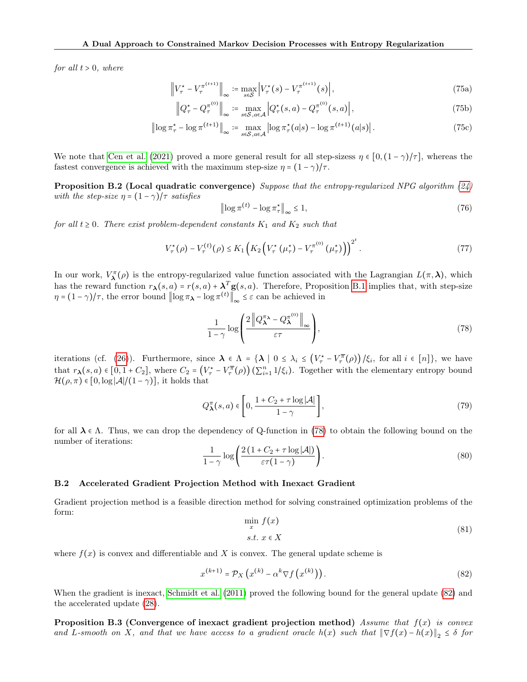for all  $t > 0$ , where

$$
\left\| V_{\tau}^{\star} - V_{\tau}^{\pi^{(t+1)}} \right\|_{\infty} \coloneqq \max_{s \in \mathcal{S}} \left| V_{\tau}^{\star}(s) - V_{\tau}^{\pi^{(t+1)}}(s) \right|, \tag{75a}
$$

$$
\left\|Q_{\tau}^{\star} - Q_{\tau}^{\pi^{(0)}}\right\|_{\infty} \coloneqq \max_{s \in \mathcal{S}, a \in \mathcal{A}} \left|Q_{\tau}^{\star}(s, a) - Q_{\tau}^{\pi^{(0)}}(s, a)\right|,\tag{75b}
$$

$$
\left\| \log \pi_{\tau}^{\star} - \log \pi^{(t+1)} \right\|_{\infty} \coloneqq \max_{s \in \mathcal{S}, a \in \mathcal{A}} \left| \log \pi_{\tau}^{\star}(a|s) - \log \pi^{(t+1)}(a|s) \right|.
$$
 (75c)

We note that [Cen et al.](#page-8-10) [\(2021\)](#page-8-10) proved a more general result for all step-sizess  $\eta \in [0, (1 - \gamma)/\tau]$ , whereas the fastest convergence is achieved with the maximum step-size  $\eta = (1 - \gamma)/\tau$ .

**Proposition B.2 (Local quadratic convergence)** Suppose that the entropy-regularized NPG algorithm  $(24)$ with the step-size  $\eta = (1 - \gamma)/\tau$  satisfies

<span id="page-15-2"></span>
$$
\left\| \log \pi^{(t)} - \log \pi_{\tau}^* \right\|_{\infty} \le 1,\tag{76}
$$

for all  $t \geq 0$ . There exist problem-dependent constants  $K_1$  and  $K_2$  such that

$$
V_{\tau}^{\star}(\rho) - V_{\tau}^{(t)}(\rho) \le K_1 \left( K_2 \left( V_{\tau}^{\star} \left( \mu_{\tau}^{\star} \right) - V_{\tau}^{\pi^{(0)}} \left( \mu_{\tau}^{\star} \right) \right) \right)^{2^t} . \tag{77}
$$

In our work,  $V^{\pi}_{\lambda}(\rho)$  is the entropy-regularized value function associated with the Lagrangian  $L(\pi,\lambda)$ , which has the reward function  $r_{\lambda}(s, a) = r(s, a) + \lambda^{T} g(s, a)$ . Therefore, Proposition [B.1](#page-14-2) implies that, with step-size  $\eta = (1 - \gamma)/\tau$ , the error bound  $\|\log \pi_{\lambda} - \log \pi^{(t)}\|_{\infty} \leq \varepsilon$  can be achieved in

<span id="page-15-3"></span>
$$
\frac{1}{1-\gamma}\log\left(\frac{2\left\|Q_{\lambda}^{\pi_{\lambda}}-Q_{\lambda}^{\pi^{(0)}}\right\|_{\infty}}{\varepsilon\tau}\right),\tag{78}
$$

iterations (cf. [\(26\)](#page-5-4)). Furthermore, since  $\lambda \in \Lambda = {\lambda | 0 \leq \lambda_i \leq (V^{\star}_{\tau} - V^{\overline{\pi}}_{\tau}(\rho))}/{\xi_i}$ , for all  $i \in [n]$ , we have that  $r_{\lambda}(s, a) \in [0, 1+C_2]$ , where  $C_2 = (V_{\tau}^* - V_{\tau}^{\overline{\pi}}(\rho))(\sum_{i=1}^n 1/\xi_i)$ . Together with the elementary entropy bound  $\mathcal{H}(\rho,\pi) \in [0,\log|\mathcal{A}|/(1-\gamma)),$  it holds that

<span id="page-15-5"></span>
$$
Q_{\lambda}^{\pi}(s, a) \in \left[0, \frac{1 + C_2 + \tau \log |\mathcal{A}|}{1 - \gamma}\right],\tag{79}
$$

for all  $\lambda \in \Lambda$ . Thus, we can drop the dependency of Q-function in [\(78\)](#page-15-3) to obtain the following bound on the number of iterations:

$$
\frac{1}{1-\gamma}\log\left(\frac{2\left(1+C_2+\tau\log|\mathcal{A}|}{\varepsilon\tau(1-\gamma)}\right)\right).
$$
\n(80)

#### <span id="page-15-1"></span>B.2 Accelerated Gradient Projection Method with Inexact Gradient

Gradient projection method is a feasible direction method for solving constrained optimization problems of the form:

$$
\min_{x} f(x) \tag{81}
$$
\n
$$
s.t. \ x \in X
$$

where  $f(x)$  is convex and differentiable and X is convex. The general update scheme is

<span id="page-15-4"></span><span id="page-15-0"></span>
$$
x^{(k+1)} = \mathcal{P}_X \left( x^{(k)} - \alpha^k \nabla f \left( x^{(k)} \right) \right). \tag{82}
$$

When the gradient is inexact, [Schmidt et al.](#page-9-16) [\(2011\)](#page-9-16) proved the following bound for the general update [\(82\)](#page-15-4) and the accelerated update [\(28\)](#page-5-2).

Proposition B.3 (Convergence of inexact gradient projection method) Assume that  $f(x)$  is convex and L-smooth on X, and that we have access to a gradient oracle  $h(x)$  such that  $\|\nabla f(x) - h(x)\|_2 \leq \delta$  for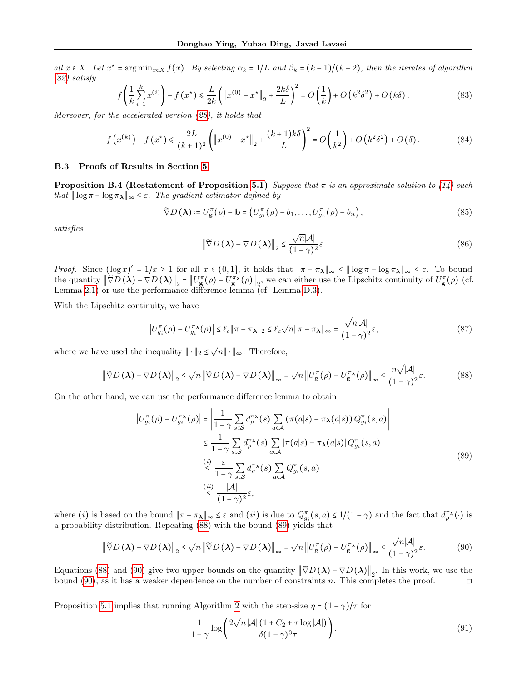all  $x \in X$ . Let  $x^* = \arg\min_{x \in X} f(x)$ . By selecting  $\alpha_k = 1/L$  and  $\beta_k = (k-1)/(k+2)$ , then the iterates of algorithm [\(82\)](#page-15-4) satisfy

$$
f\left(\frac{1}{k}\sum_{i=1}^{k}x^{(i)}\right) - f\left(x^{\star}\right) \leq \frac{L}{2k}\left(\left\|x^{(0)} - x^{\star}\right\|_{2} + \frac{2k\delta}{L}\right)^{2} = O\left(\frac{1}{k}\right) + O\left(k^{2}\delta^{2}\right) + O\left(k\delta\right). \tag{83}
$$

Moreover, for the accelerated version [\(28\)](#page-5-2), it holds that

$$
f(x^{(k)}) - f(x^*) \le \frac{2L}{(k+1)^2} \left( \|x^{(0)} - x^*\|_2 + \frac{(k+1)k\delta}{L} \right)^2 = O\left(\frac{1}{k^2}\right) + O\left(k^2\delta^2\right) + O\left(\delta\right). \tag{84}
$$

### <span id="page-16-0"></span>B.3 Proofs of Results in Section [5](#page-6-9)

**Proposition B.4 (Restatement of Proposition [5.1\)](#page-6-7)** Suppose that  $\pi$  is an approximate solution to [\(14\)](#page-3-4) such that  $|| \log \pi - \log \pi_\lambda ||_\infty \leq \varepsilon$ . The gradient estimator defined by

$$
\widetilde{\nabla}D\left(\boldsymbol{\lambda}\right) \coloneqq U_{\mathbf{g}}^{\pi}(\rho) - \mathbf{b} = \left(U_{g_1}^{\pi}(\rho) - b_1, \dots, U_{g_n}^{\pi}(\rho) - b_n\right),\tag{85}
$$

satisfies

$$
\left\| \widetilde{\nabla} D\left(\boldsymbol{\lambda}\right) - \nabla D\left(\boldsymbol{\lambda}\right) \right\|_2 \le \frac{\sqrt{n} |\mathcal{A}|}{\left(1 - \gamma\right)^2} \varepsilon. \tag{86}
$$

Proof. Since  $(\log x)' = 1/x \ge 1$  for all  $x \in (0,1]$ , it holds that  $\|\pi - \pi_{\lambda}\|_{\infty} \le \|\log \pi - \log \pi_{\lambda}\|_{\infty} \le \varepsilon$ . To bound the quantity  $\|\widetilde{\nabla}D(\lambda) - \nabla D(\lambda)\|_2 = \|U_{\mathbf{g}}^{\pi}(\rho) - U_{\mathbf{g}}^{\pi\lambda}(\rho)\|_2$ , we can either use the Lipschitz continuity of  $U_{\mathbf{g}}^{\pi}(\rho)$  (cf. Lemma [2.1\)](#page-2-0) or use the performance difference lemma (cf. Lemma [D.3\)](#page-22-1).

With the Lipschitz continuity, we have

$$
\left| U_{g_i}^{\pi}(\rho) - U_{g_i}^{\pi_{\lambda}}(\rho) \right| \le \ell_c \|\pi - \pi_{\lambda}\|_2 \le \ell_c \sqrt{n} \|\pi - \pi_{\lambda}\|_{\infty} = \frac{\sqrt{n|\mathcal{A}|}}{(1 - \gamma)^2} \varepsilon,
$$
\n(87)

where we have used the inequality  $\|\cdot\|_2 \leq \sqrt{n} \|\cdot\|_{\infty}$ . Therefore,

<span id="page-16-1"></span>
$$
\left\|\widetilde{\nabla}D\left(\boldsymbol{\lambda}\right)-\nabla D\left(\boldsymbol{\lambda}\right)\right\|_{2} \leq \sqrt{n}\left\|\widetilde{\nabla}D\left(\boldsymbol{\lambda}\right)-\nabla D\left(\boldsymbol{\lambda}\right)\right\|_{\infty} = \sqrt{n}\left\|U_{\mathbf{g}}^{\pi}(\rho)-U_{\mathbf{g}}^{\pi\lambda}(\rho)\right\|_{\infty} \leq \frac{n\sqrt{|\mathcal{A}|}}{(1-\gamma)^{2}}\varepsilon.
$$
 (88)

On the other hand, we can use the performance difference lemma to obtain

<span id="page-16-2"></span>
$$
\left|U_{g_i}^{\pi}(\rho) - U_{g_i}^{\pi\lambda}(\rho)\right| = \left|\frac{1}{1-\gamma} \sum_{s\in\mathcal{S}} d_{\rho}^{\pi\lambda}(s) \sum_{a\in\mathcal{A}} (\pi(a|s) - \pi_{\lambda}(a|s)) Q_{g_i}^{\pi}(s, a)\right|
$$
  

$$
\leq \frac{1}{1-\gamma} \sum_{s\in\mathcal{S}} d_{\rho}^{\pi\lambda}(s) \sum_{a\in\mathcal{A}} |\pi(a|s) - \pi_{\lambda}(a|s)| Q_{g_i}^{\pi}(s, a)
$$
  

$$
\leq \frac{i}{1-\gamma} \sum_{s\in\mathcal{S}} d_{\rho}^{\pi\lambda}(s) \sum_{a\in\mathcal{A}} Q_{g_i}^{\pi}(s, a)
$$
  

$$
\stackrel{(ii)}{\leq} \frac{|\mathcal{A}|}{(1-\gamma)^2} \varepsilon,
$$
 (89)

where (*i*) is based on the bound  $\|\pi - \pi_{\lambda}\|_{\infty} \leq \varepsilon$  and (*ii*) is due to  $Q_{g_i}^{\pi}(s, a) \leq 1/(1 - \gamma)$  and the fact that  $d_{\rho}^{\pi_{\lambda}}(\cdot)$  is a probability distribution. Repeating [\(88\)](#page-16-1) with the bound [\(89\)](#page-16-2) yields that

<span id="page-16-3"></span>
$$
\left\|\widetilde{\nabla}D\left(\boldsymbol{\lambda}\right)-\nabla D\left(\boldsymbol{\lambda}\right)\right\|_{2} \leq \sqrt{n}\left\|\widetilde{\nabla}D\left(\boldsymbol{\lambda}\right)-\nabla D\left(\boldsymbol{\lambda}\right)\right\|_{\infty} = \sqrt{n}\left\|U_{\mathbf{g}}^{\pi}(\rho)-U_{\mathbf{g}}^{\pi\lambda}(\rho)\right\|_{\infty} \leq \frac{\sqrt{n}|\mathcal{A}|}{(1-\gamma)^{2}}\varepsilon.
$$
\n(90)

Equations [\(88\)](#page-16-1) and [\(90\)](#page-16-3) give two upper bounds on the quantity  $\|\widetilde{\nabla}D(\lambda) - \nabla D(\lambda)\|_2$ . In this work, we use the bound [\(90\)](#page-16-3), as it has a weaker dependence on the number of constraints n. This completes the proof.  $\Box$ 

Proposition [5.1](#page-6-7) implies that running Algorithm [2](#page-6-3) with the step-size  $\eta = (1 - \gamma)/\tau$  for

<span id="page-16-4"></span>
$$
\frac{1}{1-\gamma} \log \left( \frac{2\sqrt{n} |\mathcal{A}| \left(1 + C_2 + \tau \log |\mathcal{A}| \right)}{\delta (1-\gamma)^3 \tau} \right). \tag{91}
$$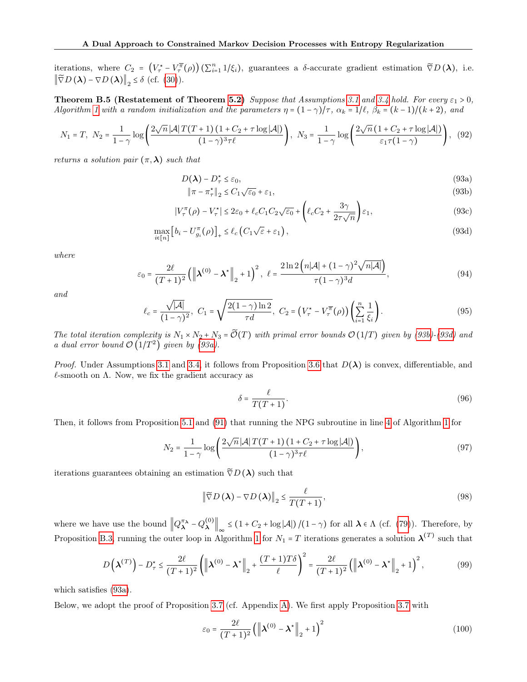iterations, where  $C_2 = (V_\tau^* - V_\tau^{\overline{\pi}}(\rho))(\sum_{i=1}^n 1/\xi_i)$ , guarantees a  $\delta$ -accurate gradient estimation  $\tilde{\nabla}D(\lambda)$ , i.e.  $\left\|\widetilde{\nabla}D\left(\boldsymbol{\lambda}\right)-\nabla D\left(\boldsymbol{\lambda}\right)\right\|_2 \leq \delta$  (cf. [\(30\)](#page-6-10)).

<span id="page-17-0"></span>**Theorem B.5 (Restatement of Theorem [5.2\)](#page-6-8)** Suppose that Assumptions [3.1](#page-3-0) and [3.4](#page-3-3) hold. For every  $\varepsilon_1 > 0$ , Algorithm [1](#page-6-0) with a random initialization and the parameters  $\eta = (1 - \gamma)/\tau$ ,  $\alpha_k = 1/\ell$ ,  $\beta_k = (k - 1)/(k + 2)$ , and

$$
N_1 = T, \ N_2 = \frac{1}{1 - \gamma} \log \left( \frac{2\sqrt{n} |\mathcal{A}| T(T + 1) (1 + C_2 + \tau \log |\mathcal{A}|)}{(1 - \gamma)^3 \tau \ell} \right), \ N_3 = \frac{1}{1 - \gamma} \log \left( \frac{2\sqrt{n} (1 + C_2 + \tau \log |\mathcal{A}|)}{\varepsilon_1 \tau (1 - \gamma)} \right), \ (92)
$$

returns a solution pair  $(\pi, \lambda)$  such that

$$
D(\lambda) - D_{\tau}^{\star} \le \varepsilon_0,\tag{93a}
$$

<span id="page-17-4"></span><span id="page-17-3"></span><span id="page-17-2"></span><span id="page-17-1"></span>
$$
\|\pi - \pi_{\tau}^{\star}\|_{2} \le C_{1}\sqrt{\varepsilon_{0}} + \varepsilon_{1},\tag{93b}
$$

$$
|V_{\tau}^{\pi}(\rho) - V_{\tau}^*| \le 2\varepsilon_0 + \ell_c C_1 C_2 \sqrt{\varepsilon_0} + \left(\ell_c C_2 + \frac{3\gamma}{2\tau\sqrt{n}}\right)\varepsilon_1,\tag{93c}
$$

$$
\max_{i \in [n]} \left[ b_i - U_{g_i}^{\pi}(\rho) \right]_+ \le \ell_c \left( C_1 \sqrt{\varepsilon} + \varepsilon_1 \right),\tag{93d}
$$

where

<span id="page-17-5"></span>
$$
\varepsilon_0 = \frac{2\ell}{(T+1)^2} \left( \left\| \boldsymbol{\lambda}^{(0)} - \boldsymbol{\lambda}^{\star} \right\|_2 + 1 \right)^2, \ \ \ell = \frac{2\ln 2\left( n|\mathcal{A}| + (1-\gamma)^2 \sqrt{n|\mathcal{A}|} \right)}{\tau (1-\gamma)^3 d}, \tag{94}
$$

and

$$
\ell_c = \frac{\sqrt{|\mathcal{A}|}}{(1-\gamma)^2}, \ C_1 = \sqrt{\frac{2(1-\gamma)\ln 2}{\tau d}}, \ C_2 = \left(V_\tau^\star - V_\tau^\pi(\rho)\right) \left(\sum_{i=1}^n \frac{1}{\xi_i}\right). \tag{95}
$$

The total iteration complexity is  $N_1 \times N_2 + N_3 = \widetilde{\mathcal{O}}(T)$  with primal error bounds  $\mathcal{O}(1/T)$  given by [\(93b\)](#page-17-1)-[\(93d\)](#page-17-2) and a dual error bound  $\mathcal{O}(1/T^2)$  given by [\(93a\)](#page-17-3).

*Proof.* Under Assumptions [3.1](#page-3-0) and [3.4,](#page-3-3) it follows from Proposition [3.6](#page-4-1) that  $D(\lambda)$  is convex, differentiable, and  $\ell$ -smooth on  $\Lambda$ . Now, we fix the gradient accuracy as

$$
\delta = \frac{\ell}{T(T+1)}.\tag{96}
$$

Then, it follows from Proposition [5.1](#page-6-7) and [\(91\)](#page-16-4) that running the NPG subroutine in line [4](#page-6-2) of Algorithm [1](#page-6-0) for

$$
N_2 = \frac{1}{1-\gamma} \log \left( \frac{2\sqrt{n} |\mathcal{A}| T(T+1) \left(1 + C_2 + \tau \log |\mathcal{A}| \right)}{(1-\gamma)^3 \tau \ell} \right),\tag{97}
$$

iterations guarantees obtaining an estimation  $\tilde{\nabla}D(\lambda)$  such that

<span id="page-17-6"></span>
$$
\left\| \widetilde{\nabla} D\left( \boldsymbol{\lambda} \right) - \nabla D\left( \boldsymbol{\lambda} \right) \right\|_2 \le \frac{\ell}{T(T+1)},\tag{98}
$$

where we have use the bound  $||Q_{\lambda}^{\pi_{\lambda}} - Q_{\lambda}^{(0)}||$  $\lambda \left\| \mathbf{A} \right\|_{\infty} \leq (1 + C_2 + \log |\mathcal{A}|) / (1 - \gamma)$  for all  $\lambda \in \Lambda$  (cf. [\(79\)](#page-15-5)). Therefore, by Proposition [B.3,](#page-15-0) running the outer loop in Algorithm [1](#page-6-0) for  $N_1 = T$  iterations generates a solution  $\lambda^{(T)}$  such that

$$
D\left(\boldsymbol{\lambda}^{(T)}\right) - D_{\tau}^{\star} \leq \frac{2\ell}{(T+1)^2} \left( \left\| \boldsymbol{\lambda}^{(0)} - \boldsymbol{\lambda}^{\star} \right\|_2 + \frac{(T+1)T\delta}{\ell} \right)^2 = \frac{2\ell}{(T+1)^2} \left( \left\| \boldsymbol{\lambda}^{(0)} - \boldsymbol{\lambda}^{\star} \right\|_2 + 1 \right)^2, \tag{99}
$$

which satisfies [\(93a\)](#page-17-3).

Below, we adopt the proof of Proposition [3.7](#page-4-3) (cf. Appendix [A\)](#page-10-0). We first apply Proposition [3.7](#page-4-3) with

$$
\varepsilon_0 = \frac{2\ell}{(T+1)^2} \left( \left\| \boldsymbol{\lambda}^{(0)} - \boldsymbol{\lambda}^{\star} \right\|_2 + 1 \right)^2 \tag{100}
$$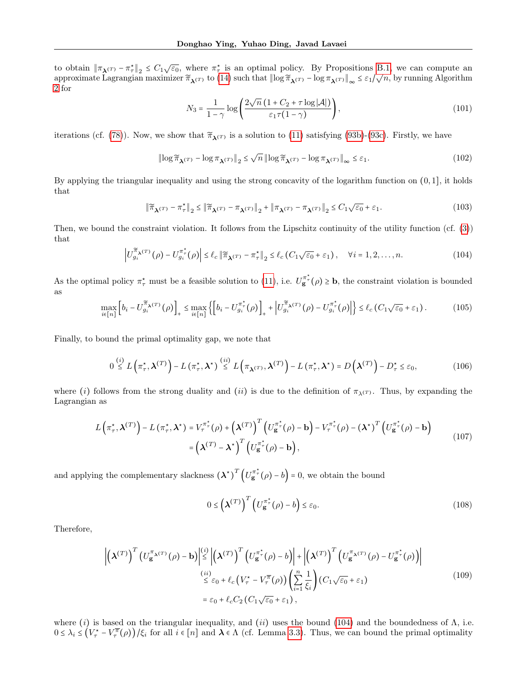to obtain  $\|\pi_{\lambda}(T) - \pi_{\tau}^*\|_2 \leq C_1 \sqrt{\varepsilon_0}$ , where  $\pi_{\tau}^*$  is an optimal policy. By Propositions [B.1,](#page-14-2) we can compute an to obtain  $||^n \lambda^{(T)} - n_{\tau} ||_2 \leq C_1 \sqrt{\epsilon_0}$ , where  $n_{\tau}$  is an optimal policy. By 1 ropositions B.1, we can compute an approximate Lagrangian maximizer  $\tilde{\pi}_{\lambda^{(T)}}$  to [\(14\)](#page-3-4) such that  $||\log \tilde{\pi}_{\lambda^{(T)}} - \log \pi_{\lambda^{(T)}}||_{\infty}$ [2](#page-6-3) for

$$
N_3 = \frac{1}{1-\gamma} \log \left( \frac{2\sqrt{n} \left(1 + C_2 + \tau \log |\mathcal{A}|\right)}{\varepsilon_1 \tau (1-\gamma)} \right),\tag{101}
$$

iterations (cf. [\(78\)](#page-15-3)). Now, we show that  $\tilde{\pi}_{\lambda}(T)$  is a solution to [\(11\)](#page-2-2) satisfying [\(93b\)](#page-17-1)-[\(93c\)](#page-17-4). Firstly, we have

$$
\left\|\log \widetilde{\pi}_{\lambda^{(T)}} - \log \pi_{\lambda^{(T)}}\right\|_2 \le \sqrt{n} \left\|\log \widetilde{\pi}_{\lambda^{(T)}} - \log \pi_{\lambda^{(T)}}\right\|_{\infty} \le \varepsilon_1. \tag{102}
$$

By applying the triangular inequality and using the strong concavity of the logarithm function on  $(0, 1]$ , it holds that

$$
\|\widetilde{\pi}_{\lambda^{(T)}} - \pi_{\tau}^{\star}\|_{2} \le \|\widetilde{\pi}_{\lambda^{(T)}} - \pi_{\lambda^{(T)}}\|_{2} + \|\pi_{\lambda^{(T)}} - \pi_{\lambda^{(T)}}\|_{2} \le C_{1}\sqrt{\varepsilon_{0}} + \varepsilon_{1}.
$$
\n(103)

Then, we bound the constraint violation. It follows from the Lipschitz continuity of the utility function (cf. ([3\)](#page-2-3)) that

<span id="page-18-0"></span>
$$
\left| U_{g_i}^{\widetilde{\pi}_{\lambda}(T)}(\rho) - U_{g_i}^{\pi_{\tau}^*}(\rho) \right| \le \ell_c \left\| \widetilde{\pi}_{\lambda}(T) - \pi_{\tau}^* \right\|_2 \le \ell_c \left( C_1 \sqrt{\varepsilon_0} + \varepsilon_1 \right), \quad \forall i = 1, 2, \dots, n. \tag{104}
$$

As the optimal policy  $\pi^*_{\tau}$  must be a feasible solution to [\(11\)](#page-2-2), i.e.  $U_{\mathbf{g}}^{\pi^*}(\rho) \geq \mathbf{b}$ , the constraint violation is bounded as

$$
\max_{i\in[n]} \left[ b_i - U_{g_i}^{\widetilde{\pi}_{\lambda}(T)}(\rho) \right]_+ \leq \max_{i\in[n]} \left\{ \left[ b_i - U_{g_i}^{\pi^*}(\rho) \right]_+ + \left| U_{g_i}^{\widetilde{\pi}_{\lambda}(T)}(\rho) - U_{g_i}^{\pi^*}(\rho) \right| \right\} \leq \ell_c \left( C_1 \sqrt{\varepsilon_0} + \varepsilon_1 \right). \tag{105}
$$

Finally, to bound the primal optimality gap, we note that

$$
0 \stackrel{(i)}{\leq} L\left(\pi_{\tau}^{\star}, \boldsymbol{\lambda}^{(T)}\right) - L\left(\pi_{\tau}^{\star}, \boldsymbol{\lambda}^{\star}\right) \stackrel{(ii)}{\leq} L\left(\pi_{\boldsymbol{\lambda}^{(T)}}, \boldsymbol{\lambda}^{(T)}\right) - L\left(\pi_{\tau}^{\star}, \boldsymbol{\lambda}^{\star}\right) = D\left(\boldsymbol{\lambda}^{(T)}\right) - D_{\tau}^{\star} \leq \varepsilon_{0},\tag{106}
$$

where (i) follows from the strong duality and (ii) is due to the definition of  $\pi_{\lambda}(T)$ . Thus, by expanding the Lagrangian as

$$
L\left(\pi_{\tau}^{\star},\boldsymbol{\lambda}^{(T)}\right)-L\left(\pi_{\tau}^{\star},\boldsymbol{\lambda}^{\star}\right)=V_{\tau}^{\pi_{\tau}^{\star}}(\rho)+\left(\boldsymbol{\lambda}^{(T)}\right)^{T}\left(U_{\mathbf{g}}^{\pi_{\tau}^{\star}}(\rho)-\mathbf{b}\right)-V_{\tau}^{\pi_{\tau}^{\star}}(\rho)-\left(\boldsymbol{\lambda}^{\star}\right)^{T}\left(U_{\mathbf{g}}^{\pi_{\tau}^{\star}}(\rho)-\mathbf{b}\right)\\ =\left(\boldsymbol{\lambda}^{(T)}-\boldsymbol{\lambda}^{\star}\right)^{T}\left(U_{\mathbf{g}}^{\pi_{\tau}^{\star}}(\rho)-\mathbf{b}\right),\tag{107}
$$

and applying the complementary slackness  $(\lambda^*)^T \left( U_{\mathbf{g}}^{\pi^*}(\rho) - b \right) = 0$ , we obtain the bound

$$
0 \le \left(\boldsymbol{\lambda}^{(T)}\right)^{T} \left(U_{\mathbf{g}}^{\pi_{\tau}^{\star}}(\rho) - b\right) \le \varepsilon_{0}.\tag{108}
$$

Therefore,

<span id="page-18-1"></span>
$$
\left| \left( \boldsymbol{\lambda}^{(T)} \right)^{T} \left( U_{\mathbf{g}}^{\pi_{\boldsymbol{\lambda}^{(T)}}} (\rho) - \mathbf{b} \right) \right| \leq \left| \left( \boldsymbol{\lambda}^{(T)} \right)^{T} \left( U_{\mathbf{g}}^{\pi_{\boldsymbol{\tau}}^{*}} (\rho) - b \right) \right| + \left| \left( \boldsymbol{\lambda}^{(T)} \right)^{T} \left( U_{\mathbf{g}}^{\pi_{\boldsymbol{\lambda}^{(T)}}} (\rho) - U_{\mathbf{g}}^{\pi_{\boldsymbol{\tau}}^{*}} (\rho) \right) \right|
$$
\n
$$
\stackrel{(ii)}{\leq} \varepsilon_{0} + \ell_{c} \left( V_{\boldsymbol{\tau}}^{\star} - V_{\boldsymbol{\tau}}^{\pi} (\rho) \right) \left( \sum_{i=1}^{n} \frac{1}{\xi_{i}} \right) \left( C_{1} \sqrt{\varepsilon_{0}} + \varepsilon_{1} \right)
$$
\n
$$
= \varepsilon_{0} + \ell_{c} C_{2} \left( C_{1} \sqrt{\varepsilon_{0}} + \varepsilon_{1} \right), \tag{109}
$$

where (i) is based on the triangular inequality, and (ii) uses the bound [\(104\)](#page-18-0) and the boundedness of  $\Lambda$ , i.e.  $0 \leq \lambda_i \leq (V_\tau^* - V_\tau^{\overline{\pi}}(\rho)) / \xi_i$  for all  $i \in [n]$  and  $\lambda \in \Lambda$  (cf. Lemma [3.3\)](#page-3-2). Thus, we can bound the primal optimality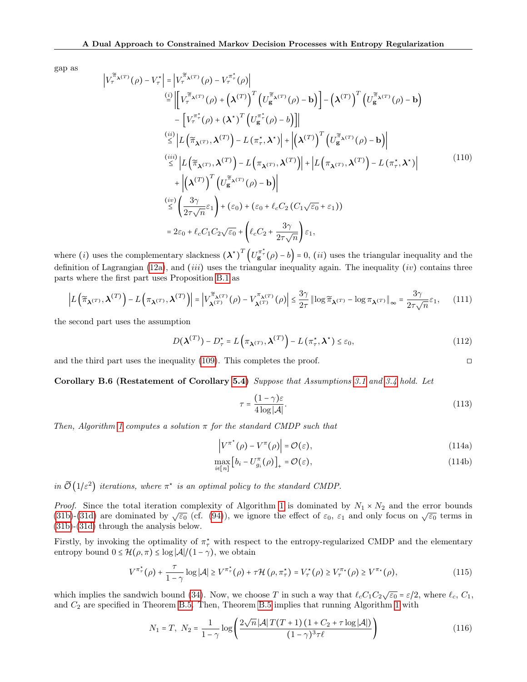gap as

$$
\left|V_{\tau}^{\tilde{\pi}_{\lambda}(T)}(\rho) - V_{\tau}^{\star}\right| = \left|V_{\tau}^{\tilde{\pi}_{\lambda}(T)}(\rho) - V_{\tau}^{\pi_{\tau}^{\star}}(\rho)\right|
$$
\n
$$
\stackrel{(i)}{=} \left|\left[V_{\tau}^{\tilde{\pi}_{\lambda}(T)}(\rho) + \left(\lambda^{(T)}\right)^{T}\left(U_{\mathbf{g}}^{\tilde{\pi}_{\lambda}(T)}(\rho) - \mathbf{b}\right)\right] - \left(\lambda^{(T)}\right)^{T}\left(U_{\mathbf{g}}^{\tilde{\pi}_{\lambda}(T)}(\rho) - \mathbf{b}\right)
$$
\n
$$
- \left[V_{\tau}^{\pi_{\tau}^{\star}}(\rho) + \left(\lambda^{\star}\right)^{T}\left(U_{\mathbf{g}}^{\pi_{\tau}^{\star}}(\rho) - b\right)\right]\right|
$$
\n
$$
\stackrel{(ii)}{\leq} \left|L\left(\tilde{\pi}_{\lambda}(T), \lambda^{(T)}\right) - L\left(\pi_{\tau}^{\star}, \lambda^{\star}\right)\right| + \left|\left(\lambda^{(T)}\right)^{T}\left(U_{\mathbf{g}}^{\tilde{\pi}_{\lambda}(T)}(\rho) - \mathbf{b}\right)\right|
$$
\n
$$
\stackrel{(iii)}{\leq} \left|L\left(\tilde{\pi}_{\lambda}(T), \lambda^{(T)}\right) - L\left(\pi_{\lambda}(T), \lambda^{(T)}\right)\right| + \left|L\left(\pi_{\lambda}(T), \lambda^{(T)}\right) - L\left(\pi_{\tau}^{\star}, \lambda^{\star}\right)\right|
$$
\n
$$
+ \left|\left(\lambda^{(T)}\right)^{T}\left(U_{\mathbf{g}}^{\tilde{\pi}_{\lambda}(T)}(\rho) - \mathbf{b}\right)\right|
$$
\n
$$
\stackrel{(iv)}{\leq} \left(\frac{3\gamma}{2\tau\sqrt{n}}\varepsilon_{1}\right) + \left(\varepsilon_{0}\right) + \left(\varepsilon_{0} + \ell_{c}C_{2}\left(C_{1}\sqrt{\varepsilon_{0}} + \varepsilon_{1}\right)\right)
$$
\n
$$
= 2\varepsilon_{0} + \ell_{c}C_{1}C_{2}\sqrt{\varepsilon_{0}} + \left(\ell_{c}C_{2} + \frac{3\gamma}{2\tau
$$

where (*i*) uses the complementary slackness  $(\lambda^*)^T (U_{\mathbf{g}}^{\pi^*}(\rho) - b) = 0$ , (*ii*) uses the triangular inequality and the definition of Lagrangian [\(12a\)](#page-2-1), and (iii) uses the triangular inequality again. The inequality (iv) contains three parts where the first part uses Proposition [B.1](#page-14-2) as

$$
\left| L\left(\widetilde{\pi}_{\boldsymbol{\lambda}^{(T)}},\boldsymbol{\lambda}^{(T)}\right) - L\left(\pi_{\boldsymbol{\lambda}^{(T)}},\boldsymbol{\lambda}^{(T)}\right) \right| = \left| V_{\boldsymbol{\lambda}^{(T)}}^{\widetilde{\pi}_{\boldsymbol{\lambda}^{(T)}}}(\rho) - V_{\boldsymbol{\lambda}^{(T)}}^{\pi_{\boldsymbol{\lambda}^{(T)}}}(\rho) \right| \le \frac{3\gamma}{2\tau} \left| \log \widetilde{\pi}_{\boldsymbol{\lambda}^{(T)}} - \log \pi_{\boldsymbol{\lambda}^{(T)}} \right|_{\infty} = \frac{3\gamma}{2\tau\sqrt{n}} \varepsilon_1,\tag{11}
$$

the second part uses the assumption

$$
D(\boldsymbol{\lambda}^{(T)}) - D_{\tau}^{\star} = L\left(\pi_{\boldsymbol{\lambda}^{(T)}}, \boldsymbol{\lambda}^{(T)}\right) - L\left(\pi_{\tau}^{\star}, \boldsymbol{\lambda}^{\star}\right) \leq \varepsilon_{0},\tag{112}
$$

and the third part uses the inequality  $(109)$ . This completes the proof.

<span id="page-19-1"></span>Corollary B.6 (Restatement of Corollary [5.4\)](#page-7-5) Suppose that Assumptions [3.1](#page-3-0) and [3.4](#page-3-3) hold. Let

$$
\tau = \frac{(1 - \gamma)\varepsilon}{4\log|\mathcal{A}|}.\tag{113}
$$

Then, Algorithm [1](#page-6-0) computes a solution  $\pi$  for the standard CMDP such that

$$
\left|V^{\pi^*}(\rho) - V^{\pi}(\rho)\right| = \mathcal{O}(\varepsilon),\tag{114a}
$$

$$
\max_{i \in [n]} \left[ b_i - U_{g_i}^{\pi}(\rho) \right]_+ = \mathcal{O}(\varepsilon),\tag{114b}
$$

in  $\widetilde{\mathcal{O}}(1/\varepsilon^2)$  iterations, where  $\pi^*$  is an optimal policy to the standard CMDP.

*Proof.* Since the total iteration complexity of Algorithm [1](#page-6-0) is dominated by  $N_1 \times N_2$  and the error bounds [\(31b\)](#page-7-0)-[\(31d\)](#page-7-1) are dominated by  $\sqrt{\varepsilon_0}$  (cf. [\(94\)](#page-17-5)), we ignore the effect of  $\varepsilon_0$ ,  $\varepsilon_1$  and only focus on  $\sqrt{\varepsilon_0}$  terms in [\(31b\)](#page-7-0)-[\(31d\)](#page-7-1) through the analysis below.

Firstly, by invoking the optimality of  $\pi^*$  with respect to the entropy-regularized CMDP and the elementary entropy bound  $0 \leq \mathcal{H}(\rho, \pi) \leq \log |\mathcal{A}|/(1 - \gamma)$ , we obtain

<span id="page-19-0"></span>
$$
V^{\pi_{\tau}^{\star}}(\rho) + \frac{\tau}{1-\gamma} \log |\mathcal{A}| \geq V^{\pi_{\tau}^{\star}}(\rho) + \tau \mathcal{H}\left(\rho, \pi_{\tau}^{\star}\right) = V_{\tau}^{\star}(\rho) \geq V_{\tau}^{\pi_{\star}}(\rho) \geq V^{\pi_{\star}}(\rho), \tag{115}
$$

which implies the sandwich bound [\(34\)](#page-7-8). Now, we choose T in such a way that  $\ell_cC_1C_2\sqrt{\varepsilon_0} = \varepsilon/2$ , where  $\ell_c$ ,  $C_1$ , and  $C_2$  are specified in Theorem [B.5.](#page-17-0) Then, Theorem [B.5](#page-17-0) implies that running Algorithm [1](#page-6-0) with

$$
N_1 = T, \ N_2 = \frac{1}{1 - \gamma} \log \left( \frac{2\sqrt{n} |\mathcal{A}| T(T + 1) (1 + C_2 + \tau \log |\mathcal{A}|)}{(1 - \gamma)^3 \tau \ell} \right) \tag{116}
$$

$$
\Box
$$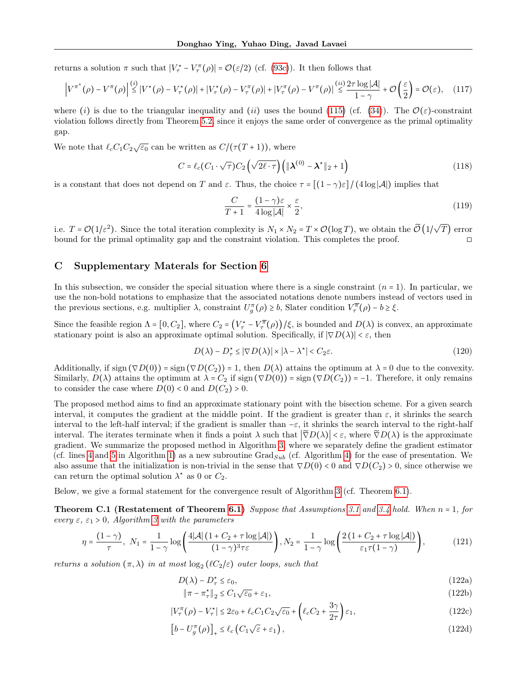returns a solution  $\pi$  such that  $|V^*_{\tau} - V^{\pi}_{\tau}(\rho)| = \mathcal{O}(\varepsilon/2)$  (cf. [\(93c\)](#page-17-4)). It then follows that

$$
\left|V^{\pi^*}(\rho) - V^{\pi}(\rho)\right| \stackrel{(i)}{\leq} \left|V^*(\rho) - V^*_{\tau}(\rho)\right| + \left|V^*_{\tau}(\rho) - V^{\pi}(\rho)\right| + \left|V^{\pi}(\rho) - V^{\pi}(\rho)\right| \stackrel{(ii)}{\leq} \frac{2\tau \log |\mathcal{A}|}{1-\gamma} + \mathcal{O}\left(\frac{\varepsilon}{2}\right) = \mathcal{O}(\varepsilon), \quad (117)
$$

where (i) is due to the triangular inequality and (ii) uses the bound [\(115\)](#page-19-0) (cf. [\(34\)](#page-7-8)). The  $\mathcal{O}(\varepsilon)$ -constraint violation follows directly from Theorem [5.2,](#page-6-8) since it enjoys the same order of convergence as the primal optimality gap.

We note that  $\ell_c C_1 C_2 \sqrt{\varepsilon_0}$  can be written as  $C/(\tau(T+1))$ , where

$$
C = \ell_c(C_1 \cdot \sqrt{\tau})C_2\left(\sqrt{2\ell \cdot \tau}\right)\left(\|\boldsymbol{\lambda}^{(0)} - \boldsymbol{\lambda}^*\|_2 + 1\right)
$$
\n(118)

is a constant that does not depend on T and  $\varepsilon$ . Thus, the choice  $\tau = \frac{\left[ (1 - \gamma)\varepsilon \right]}{(4 \log |\mathcal{A}|)}$  implies that

$$
\frac{C}{T+1} = \frac{(1-\gamma)\varepsilon}{4\log|\mathcal{A}|} \times \frac{\varepsilon}{2},\tag{119}
$$

i.e.  $T = \mathcal{O}(1/\varepsilon^2)$ . Since the total iteration complexity is  $N_1 \times N_2 = T \times \mathcal{O}(\log T)$ , we obtain the  $\mathcal{\tilde{O}}(1/\sqrt{T})$ T) error bound for the primal optimality gap and the constraint violation. This completes the proof. ◻

## <span id="page-20-0"></span>C Supplementary Materals for Section [6](#page-7-9)

In this subsection, we consider the special situation where there is a single constraint  $(n = 1)$ . In particular, we use the non-bold notations to emphasize that the associated notations denote numbers instead of vectors used in the previous sections, e.g. multiplier  $\lambda$ , constraint  $U_g^{\pi}(\rho) \geq b$ , Slater condition  $V_g^{\overline{\pi}}(\rho) - b \geq \xi$ .

Since the feasible region  $\Lambda = [0, C_2]$ , where  $C_2 = (V^*_{\tau} - V^{\overline{\pi}}_{\tau}(\rho)) / \xi$ , is bounded and  $D(\lambda)$  is convex, an approximate stationary point is also an approximate optimal solution. Specifically, if  $|\nabla D(\lambda)| < \varepsilon$ , then

<span id="page-20-5"></span>
$$
D(\lambda) - D_{\tau}^{\star} \le |\nabla D(\lambda)| \times |\lambda - \lambda^{\star}| < C_2 \varepsilon. \tag{120}
$$

Additionally, if sign  $(\nabla D(0))$  = sign  $(\nabla D(C_2))$  = 1, then  $D(\lambda)$  attains the optimum at  $\lambda$  = 0 due to the convexity. Similarly,  $D(\lambda)$  attains the optimum at  $\lambda = C_2$  if sign  $(\nabla D(0))$  = sign  $(\nabla D(C_2))$  = -1. Therefore, it only remains to consider the case where  $D(0) < 0$  and  $D(C_2) > 0$ .

The proposed method aims to find an approximate stationary point with the bisection scheme. For a given search interval, it computes the gradient at the middle point. If the gradient is greater than  $\varepsilon$ , it shrinks the search interval to the left-half interval; if the gradient is smaller than  $-\varepsilon$ , it shrinks the search interval to the right-half interval. The iterates terminate when it finds a point  $\lambda$  such that  $|\tilde{\nabla}D(\lambda)| < \varepsilon$ , where  $\tilde{\nabla}D(\lambda)$  is the approximate gradient. We summarize the proposed method in Algorithm [3,](#page-21-0) where we separately define the gradient estimator (cf. lines [4](#page-6-2) and [5](#page-6-4) in Algorithm [1\)](#page-6-0) as a new subroutine  $Grad_{Sub}$  (cf. Algorithm [4\)](#page-21-1) for the ease of presentation. We also assume that the initialization is non-trivial in the sense that  $\nabla D(0) < 0$  and  $\nabla D(C_2) > 0$ , since otherwise we can return the optimal solution  $\lambda^*$  as 0 or  $C_2$ .

Below, we give a formal statement for the convergence result of Algorithm [3](#page-21-0) (cf. Theorem [6.1\)](#page-8-15).

**Theorem C.1 (Restatement of Theorem [6.1\)](#page-8-15)** Suppose that Assumptions [3.1](#page-3-0) and [3.4](#page-3-3) hold. When  $n = 1$ , for every  $\varepsilon$ ,  $\varepsilon_1 > 0$ , Algorithm [3](#page-21-0) with the parameters

$$
\eta = \frac{(1-\gamma)}{\tau}, \ N_1 = \frac{1}{1-\gamma} \log \left( \frac{4|\mathcal{A}| \left(1 + C_2 + \tau \log |\mathcal{A}| \right)}{(1-\gamma)^3 \tau \varepsilon} \right), N_2 = \frac{1}{1-\gamma} \log \left( \frac{2 \left(1 + C_2 + \tau \log |\mathcal{A}| \right)}{\varepsilon_1 \tau (1-\gamma)} \right), \tag{121}
$$

returns a solution  $(\pi, \lambda)$  in at most  $\log_2(\ell C_2/\varepsilon)$  outer loops, such that

<span id="page-20-4"></span>
$$
D(\lambda) - D_{\tau}^{\star} \le \varepsilon_0,\tag{122a}
$$

<span id="page-20-3"></span><span id="page-20-2"></span><span id="page-20-1"></span>
$$
\|\pi - \pi_{\tau}^{\star}\|_{2} \le C_{1}\sqrt{\varepsilon_{0}} + \varepsilon_{1},\tag{122b}
$$

$$
|V_{\tau}^{\pi}(\rho) - V_{\tau}^{\star}| \le 2\varepsilon_0 + \ell_c C_1 C_2 \sqrt{\varepsilon_0} + \left(\ell_c C_2 + \frac{3\gamma}{2\tau}\right)\varepsilon_1,
$$
\n(122c)

$$
\left[b - U_g^{\pi}(\rho)\right]_+ \le \ell_c \left(C_1 \sqrt{\varepsilon} + \varepsilon_1\right),\tag{122d}
$$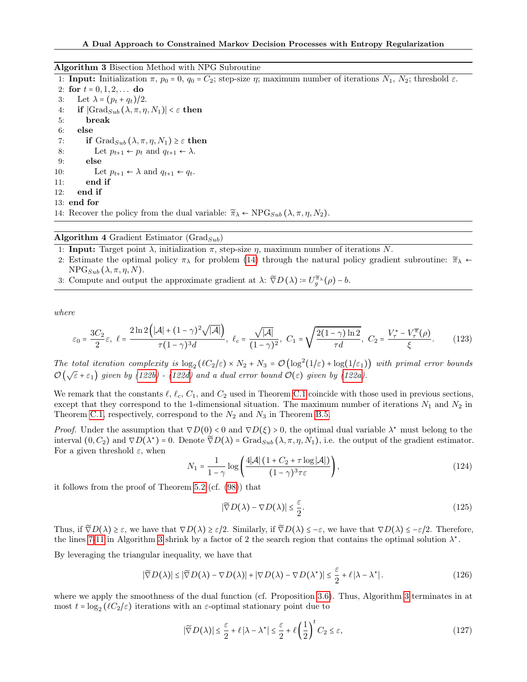#### <span id="page-21-0"></span>Algorithm 3 Bisection Method with NPG Subroutine

<span id="page-21-4"></span><span id="page-21-2"></span>1: **Input:** Initialization  $\pi$ ,  $p_0 = 0$ ,  $q_0 = C_2$ ; step-size  $\eta$ ; maximum number of iterations  $N_1$ ,  $N_2$ ; threshold  $\varepsilon$ . 2: for  $t = 0, 1, 2, \ldots$  do 3: Let  $\lambda = (p_t + q_t)/2$ . 4: if  $|\text{Grad}_{Sub}(\lambda, \pi, \eta, N_1)| < \varepsilon$  then 5: break 6: else 7: if  $Grad_{Sub}(\lambda, \pi, \eta, N_1) \geq \varepsilon$  then 8: Let  $p_{t+1} \leftarrow p_t$  and  $q_{t+1} \leftarrow \lambda$ . 9: else 10: Let  $p_{t+1} \leftarrow \lambda$  and  $q_{t+1} \leftarrow q_t$ . 11: end if 12: end if 13: end for 14: Recover the policy from the dual variable:  $\widetilde{\pi}_{\lambda} \leftarrow \text{NPG}_{Sub}(\lambda, \pi, \eta, N_2)$ .

## <span id="page-21-3"></span><span id="page-21-1"></span>Algorithm 4 Gradient Estimator (Grad $_{Sub}$ )

1: **Input:** Target point  $\lambda$ , initialization  $\pi$ , step-size  $\eta$ , maximum number of iterations N.

- 2: Estimate the optimal policy  $\pi_{\lambda}$  for problem [\(14\)](#page-3-4) through the natural policy gradient subroutine:  $\widetilde{\pi}_{\lambda}$  ←  $NPG_{Sub}(\lambda, \pi, \eta, N).$
- 3: Compute and output the approximate gradient at  $\lambda$ :  $\tilde{\nabla}D(\lambda) = U^{\tilde{\pi}_{\lambda}}_{g}(\rho) b$ .

where

$$
\varepsilon_0 = \frac{3C_2}{2}\varepsilon, \ \ \ell = \frac{2\ln 2\left(|\mathcal{A}| + (1-\gamma)^2\sqrt{|\mathcal{A}|}\right)}{\tau(1-\gamma)^3 d}, \ \ \ell_c = \frac{\sqrt{|\mathcal{A}|}}{(1-\gamma)^2}, \ \ C_1 = \sqrt{\frac{2(1-\gamma)\ln 2}{\tau d}}, \ \ C_2 = \frac{V_\tau^\star - V_\tau^\pi(\rho)}{\xi}.\tag{123}
$$

The total iteration complexity is  $\log_2(\ell C_2/\varepsilon) \times N_2 + N_3 = \mathcal{O}(\log^2(1/\varepsilon) + \log(1/\varepsilon_1))$  with primal error bounds  $\mathcal{O}(\sqrt{\epsilon} + \epsilon_1)$  given by [\(122b\)](#page-20-1) - [\(122d\)](#page-20-2) and a dual error bound  $\mathcal{O}(\epsilon)$  given by [\(122a\)](#page-20-3).

We remark that the constants  $\ell, \ell_c, C_1$ , and  $C_2$  used in Theorem [C.1](#page-20-4) coincide with those used in previous sections, except that they correspond to the 1-dimensional situation. The maximum number of iterations  $N_1$  and  $N_2$  in Theorem [C.1,](#page-20-4) respectively, correspond to the  $N_2$  and  $N_3$  in Theorem [B.5.](#page-17-0)

*Proof.* Under the assumption that  $\nabla D(0) < 0$  and  $\nabla D(\xi) > 0$ , the optimal dual variable  $\lambda^*$  must belong to the interval  $(0, C_2)$  and  $\nabla D(\lambda^*) = 0$ . Denote  $\tilde{\nabla}D(\lambda) = \text{Grad}_{Sub}(\lambda, \pi, \eta, N_1)$ , i.e. the output of the gradient estimator. For a given threshold  $\varepsilon$ , when

$$
N_1 = \frac{1}{1-\gamma} \log \left( \frac{4|\mathcal{A}| \left(1 + C_2 + \tau \log |\mathcal{A}| \right)}{(1-\gamma)^3 \tau \varepsilon} \right),\tag{124}
$$

it follows from the proof of Theorem [5.2](#page-6-8) (cf. [\(98\)](#page-17-6)) that

$$
|\widetilde{\nabla}D(\lambda) - \nabla D(\lambda)| \le \frac{\varepsilon}{2}.\tag{125}
$$

Thus, if  $\tilde{\nabla}D(\lambda) \geq \varepsilon$ , we have that  $\nabla D(\lambda) \geq \varepsilon/2$ . Similarly, if  $\tilde{\nabla}D(\lambda) \leq -\varepsilon$ , we have that  $\nabla D(\lambda) \leq -\varepsilon/2$ . Therefore, the lines [7-](#page-21-2)[11](#page-21-3) in Algorithm [3](#page-21-0) shrink by a factor of 2 the search region that contains the optimal solution  $\lambda^*$ .

By leveraging the triangular inequality, we have that

$$
|\widetilde{\nabla}D(\lambda)| \leq |\widetilde{\nabla}D(\lambda) - \nabla D(\lambda)| + |\nabla D(\lambda) - \nabla D(\lambda^*)| \leq \frac{\varepsilon}{2} + \ell |\lambda - \lambda^*|.
$$
 (126)

where we apply the smoothness of the dual function (cf. Proposition [3.6\)](#page-4-1). Thus, Algorithm [3](#page-21-0) terminates in at most  $t = \log_2(\ell C_2/\varepsilon)$  iterations with an  $\varepsilon$ -optimal stationary point due to

<span id="page-21-5"></span>
$$
|\widetilde{\nabla}D(\lambda)| \leq \frac{\varepsilon}{2} + \ell |\lambda - \lambda^{\star}| \leq \frac{\varepsilon}{2} + \ell \left(\frac{1}{2}\right)^{t} C_{2} \leq \varepsilon,
$$
\n(127)